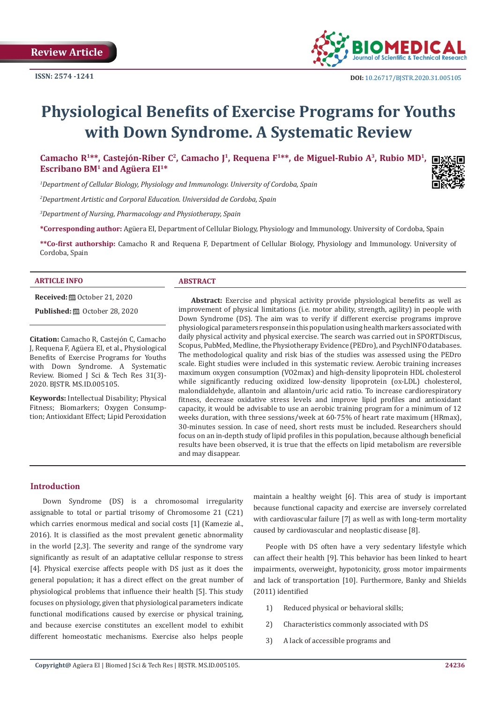

# **Physiological Benefits of Exercise Programs for Youths with Down Syndrome. A Systematic Review**

**Camacho R1\*\*, Castejón-Riber C2, Camacho J<sup>1</sup>, Requena F<sup>1</sup>\*\*, de Miguel-Rubio A<sup>3</sup>, Rubio MD1, Escribano BM<sup>1</sup> and Agüera EI1\***

*1 Department of Cellular Biology, Physiology and Immunology. University of Cordoba, Spain*

*2 Department Artistic and Corporal Education. Universidad de Cordoba, Spain*

*3 Department of Nursing, Pharmacology and Physiotherapy, Spain*

**\*Corresponding author:** Agüera EI, Department of Cellular Biology, Physiology and Immunology. University of Cordoba, Spain

**\*\*Co-first authorship:** Camacho R and Requena F, Department of Cellular Biology, Physiology and Immunology. University of Cordoba, Spain

#### **ARTICLE INFO ABSTRACT**

**Received:** ■ October 21, 2020 **Published:** ■ October 28, 2020

**Citation:** Camacho R, Castejón C, Camacho J, Requena F, Agüera EI, et al., Physiological Benefits of Exercise Programs for Youths with Down Syndrome. A Systematic Review. Biomed J Sci & Tech Res 31(3)- 2020. BJSTR. MS.ID.005105.

**Keywords:** Intellectual Disability; Physical Fitness; Biomarkers; Oxygen Consumption; Antioxidant Effect; Lipid Peroxidation

**Abstract:** Exercise and physical activity provide physiological benefits as well as improvement of physical limitations (i.e. motor ability, strength, agility) in people with Down Syndrome (DS). The aim was to verify if different exercise programs improve physiological parameters response in this population using health markers associated with daily physical activity and physical exercise. The search was carried out in SPORTDiscus, Scopus, PubMed, Medline, the Physiotherapy Evidence (PEDro), and PsychINFO databases. The methodological quality and risk bias of the studies was assessed using the PEDro scale. Eight studies were included in this systematic review. Aerobic training increases maximum oxygen consumption (VO2max) and high-density lipoprotein HDL cholesterol while significantly reducing oxidized low-density lipoprotein (ox-LDL) cholesterol, malondialdehyde, allantoin and allantoin/uric acid ratio. To increase cardiorespiratory fitness, decrease oxidative stress levels and improve lipid profiles and antioxidant capacity, it would be advisable to use an aerobic training program for a minimum of 12 weeks duration, with three sessions/week at 60-75% of heart rate maximum (HRmax), 30-minutes session. In case of need, short rests must be included. Researchers should focus on an in-depth study of lipid profiles in this population, because although beneficial results have been observed, it is true that the effects on lipid metabolism are reversible and may disappear.

# **Introduction**

Down Syndrome (DS) is a chromosomal irregularity assignable to total or partial trisomy of Chromosome 21 (C21) which carries enormous medical and social costs [1] (Kamezie al., 2016). It is classified as the most prevalent genetic abnormality in the world [2,3]. The severity and range of the syndrome vary significantly as result of an adaptative cellular response to stress [4]. Physical exercise affects people with DS just as it does the general population; it has a direct effect on the great number of physiological problems that influence their health [5]. This study focuses on physiology, given that physiological parameters indicate functional modifications caused by exercise or physical training, and because exercise constitutes an excellent model to exhibit different homeostatic mechanisms. Exercise also helps people

maintain a healthy weight [6]. This area of study is important because functional capacity and exercise are inversely correlated with cardiovascular failure [7] as well as with long-term mortality caused by cardiovascular and neoplastic disease [8].

People with DS often have a very sedentary lifestyle which can affect their health [9]. This behavior has been linked to heart impairments, overweight, hypotonicity, gross motor impairments and lack of transportation [10]. Furthermore, Banky and Shields (2011) identified

- 1) Reduced physical or behavioral skills;
- 2) Characteristics commonly associated with DS
- 3) A lack of accessible programs and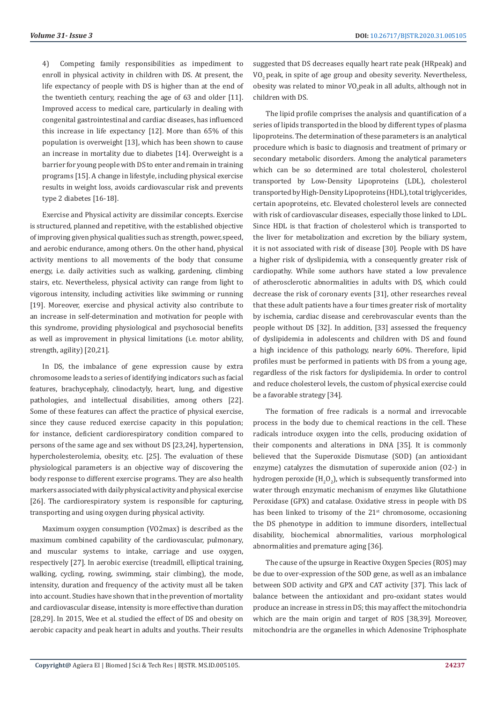4) Competing family responsibilities as impediment to enroll in physical activity in children with DS. At present, the life expectancy of people with DS is higher than at the end of the twentieth century, reaching the age of 63 and older [11]. Improved access to medical care, particularly in dealing with congenital gastrointestinal and cardiac diseases, has influenced this increase in life expectancy [12]. More than 65% of this population is overweight [13], which has been shown to cause an increase in mortality due to diabetes [14]. Overweight is a barrier for young people with DS to enter and remain in training programs [15]. A change in lifestyle, including physical exercise results in weight loss, avoids cardiovascular risk and prevents type 2 diabetes [16-18].

Exercise and Physical activity are dissimilar concepts. Exercise is structured, planned and repetitive, with the established objective of improving given physical qualities such as strength, power, speed, and aerobic endurance, among others. On the other hand, physical activity mentions to all movements of the body that consume energy, i.e. daily activities such as walking, gardening, climbing stairs, etc. Nevertheless, physical activity can range from light to vigorous intensity, including activities like swimming or running [19]. Moreover, exercise and physical activity also contribute to an increase in self-determination and motivation for people with this syndrome, providing physiological and psychosocial benefits as well as improvement in physical limitations (i.e. motor ability, strength, agility) [20,21].

In DS, the imbalance of gene expression cause by extra chromosome leads to a series of identifying indicators such as facial features, brachycephaly, clinodactyly, heart, lung, and digestive pathologies, and intellectual disabilities, among others [22]. Some of these features can affect the practice of physical exercise, since they cause reduced exercise capacity in this population; for instance, deficient cardiorespiratory condition compared to persons of the same age and sex without DS [23,24], hypertension, hypercholesterolemia, obesity, etc. [25]. The evaluation of these physiological parameters is an objective way of discovering the body response to different exercise programs. They are also health markers associated with daily physical activity and physical exercise [26]. The cardiorespiratory system is responsible for capturing, transporting and using oxygen during physical activity.

Maximum oxygen consumption (VO2max) is described as the maximum combined capability of the cardiovascular, pulmonary, and muscular systems to intake, carriage and use oxygen, respectively [27]. In aerobic exercise (treadmill, elliptical training, walking, cycling, rowing, swimming, stair climbing), the mode, intensity, duration and frequency of the activity must all be taken into account. Studies have shown that in the prevention of mortality and cardiovascular disease, intensity is more effective than duration [28,29]. In 2015, Wee et al. studied the effect of DS and obesity on aerobic capacity and peak heart in adults and youths. Their results

suggested that DS decreases equally heart rate peak (HRpeak) and VO<sub>2</sub> peak, in spite of age group and obesity severity. Nevertheless, obesity was related to minor VO $_2$ peak in all adults, although not in children with DS.

The lipid profile comprises the analysis and quantification of a series of lipids transported in the blood by different types of plasma lipoproteins. The determination of these parameters is an analytical procedure which is basic to diagnosis and treatment of primary or secondary metabolic disorders. Among the analytical parameters which can be so determined are total cholesterol, cholesterol transported by Low-Density Lipoproteins (LDL), cholesterol transported by High-Density Lipoproteins (HDL), total triglycerides, certain apoproteins, etc. Elevated cholesterol levels are connected with risk of cardiovascular diseases, especially those linked to LDL. Since HDL is that fraction of cholesterol which is transported to the liver for metabolization and excretion by the biliary system, it is not associated with risk of disease [30]. People with DS have a higher risk of dyslipidemia, with a consequently greater risk of cardiopathy. While some authors have stated a low prevalence of atherosclerotic abnormalities in adults with DS, which could decrease the risk of coronary events [31], other researches reveal that these adult patients have a four times greater risk of mortality by ischemia, cardiac disease and cerebrovascular events than the people without DS [32]. In addition, [33] assessed the frequency of dyslipidemia in adolescents and children with DS and found a high incidence of this pathology, nearly 60%. Therefore, lipid profiles must be performed in patients with DS from a young age, regardless of the risk factors for dyslipidemia. In order to control and reduce cholesterol levels, the custom of physical exercise could be a favorable strategy [34].

The formation of free radicals is a normal and irrevocable process in the body due to chemical reactions in the cell. These radicals introduce oxygen into the cells, producing oxidation of their components and alterations in DNA [35]. It is commonly believed that the Superoxide Dismutase (SOD) (an antioxidant enzyme) catalyzes the dismutation of superoxide anion (O2-) in hydrogen peroxide (H<sub>2</sub>O<sub>2</sub>), which is subsequently transformed into water through enzymatic mechanism of enzymes like Glutathione Peroxidase (GPX) and catalase. Oxidative stress in people with DS has been linked to trisomy of the  $21<sup>st</sup>$  chromosome, occasioning the DS phenotype in addition to immune disorders, intellectual disability, biochemical abnormalities, various morphological abnormalities and premature aging [36].

The cause of the upsurge in Reactive Oxygen Species (ROS) may be due to over-expression of the SOD gene, as well as an imbalance between SOD activity and GPX and CAT activity [37]. This lack of balance between the antioxidant and pro-oxidant states would produce an increase in stress in DS; this may affect the mitochondria which are the main origin and target of ROS [38,39]. Moreover, mitochondria are the organelles in which Adenosine Triphosphate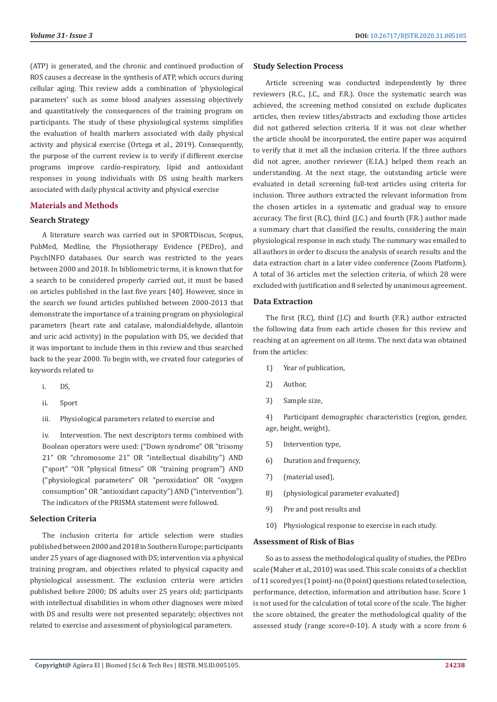(ATP) is generated, and the chronic and continued production of ROS causes a decrease in the synthesis of ATP, which occurs during cellular aging. This review adds a combination of 'physiological parameters' such as some blood analyses assessing objectively and quantitatively the consequences of the training program on participants. The study of these physiological systems simplifies the evaluation of health markers associated with daily physical activity and physical exercise (Ortega et al., 2019). Consequently, the purpose of the current review is to verify if different exercise programs improve cardio-respiratory, lipid and antioxidant responses in young individuals with DS using health markers associated with daily physical activity and physical exercise

# **Materials and Methods**

#### **Search Strategy**

A literature search was carried out in SPORTDiscus, Scopus, PubMed, Medline, the Physiotherapy Evidence (PEDro), and PsychINFO databases. Our search was restricted to the years between 2000 and 2018. In bibliometric terms, it is known that for a search to be considered properly carried out, it must be based on articles published in the last five years [40]. However, since in the search we found articles published between 2000-2013 that demonstrate the importance of a training program on physiological parameters (heart rate and catalase, malondialdehyde, allantoin and uric acid activity) in the population with DS, we decided that it was important to include them in this review and thus searched back to the year 2000. To begin with, we created four categories of keywords related to

- i. DS,
- ii. Sport
- iii. Physiological parameters related to exercise and

iv. Intervention. The next descriptors terms combined with Boolean operators were used: ("Down syndrome" OR "trisomy 21" OR "chromosome 21" OR "intellectual disability") AND ("sport" "OR "physical fitness" OR "training program") AND ("physiological parameters" OR "peroxidation" OR "oxygen consumption" OR "antioxidant capacity") AND ("intervention"). The indicators of the PRISMA statement were followed.

### **Selection Criteria**

The inclusion criteria for article selection were studies published between 2000 and 2018 in Southern Europe; participants under 25 years of age diagnosed with DS; intervention via a physical training program, and objectives related to physical capacity and physiological assessment. The exclusion criteria were articles published before 2000; DS adults over 25 years old; participants with intellectual disabilities in whom other diagnoses were mixed with DS and results were not presented separately; objectives not related to exercise and assessment of physiological parameters.

#### **Study Selection Process**

Article screening was conducted independently by three reviewers (R.C., J.C., and F.R.). Once the systematic search was achieved, the screening method consisted on exclude duplicates articles, then review titles/abstracts and excluding those articles did not gathered selection criteria. If it was not clear whether the article should be incorporated, the entire paper was acquired to verify that it met all the inclusion criteria. If the three authors did not agree, another reviewer (E.I.A.) helped them reach an understanding. At the next stage, the outstanding article were evaluated in detail screening full-text articles using criteria for inclusion. Three authors extracted the relevant information from the chosen articles in a systematic and gradual way to ensure accuracy. The first (R.C), third (J.C.) and fourth (F.R.) author made a summary chart that classified the results, considering the main physiological response in each study. The summary was emailed to all authors in order to discuss the analysis of search results and the data extraction chart in a later video conference (Zoom Platform). A total of 36 articles met the selection criteria, of which 28 were excluded with justification and 8 selected by unanimous agreement.

### **Data Extraction**

The first (R.C), third (J.C) and fourth (F.R.) author extracted the following data from each article chosen for this review and reaching at an agreement on all items. The next data was obtained from the articles:

- 1) Year of publication,
- 2) Author,
- 3) Sample size,

4) Participant demographic characteristics (region, gender, age, height, weight),

- 5) Intervention type,
- 6) Duration and frequency,
- 7) (material used),
- 8) (physiological parameter evaluated)
- 9) Pre and post results and
- 10) Physiological response to exercise in each study.

# **Assessment of Risk of Bias**

So as to assess the methodological quality of studies, the PEDro scale (Maher et al., 2010) was used. This scale consists of a checklist of 11 scored yes (1 point)-no (0 point) questions related to selection, performance, detection, information and attribution base. Score 1 is not used for the calculation of total score of the scale. The higher the score obtained, the greater the methodological quality of the assessed study (range score=0-10). A study with a score from 6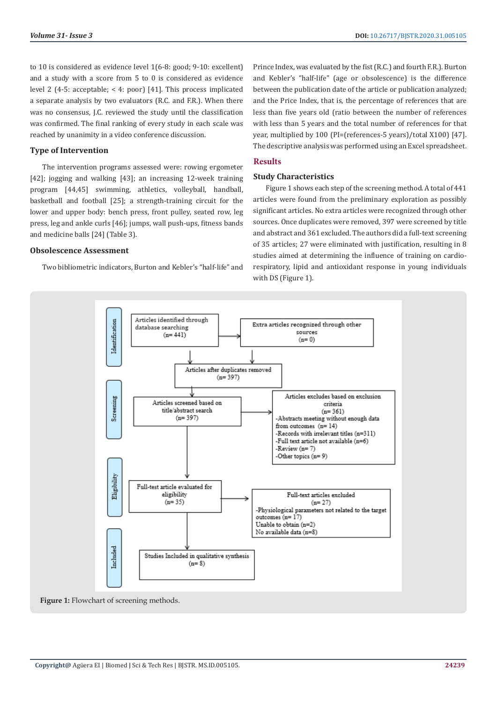to 10 is considered as evidence level 1(6-8: good; 9-10: excellent) and a study with a score from 5 to 0 is considered as evidence level 2 (4-5: acceptable; < 4: poor) [41]. This process implicated a separate analysis by two evaluators (R.C. and F.R.). When there was no consensus, J.C. reviewed the study until the classification was confirmed. The final ranking of every study in each scale was reached by unanimity in a video conference discussion.

# **Type of Intervention**

The intervention programs assessed were: rowing ergometer [42]; jogging and walking [43]; an increasing 12-week training program [44,45] swimming, athletics, volleyball, handball, basketball and football [25]; a strength-training circuit for the lower and upper body: bench press, front pulley, seated row, leg press, leg and ankle curls [46]; jumps, wall push-ups, fitness bands and medicine balls [24] (Table 3).

# **Obsolescence Assessment**

Two bibliometric indicators, Burton and Kebler's "half-life" and

Prince Index, was evaluated by the fist (R.C.) and fourth F.R.). Burton and Kebler's "half-life" (age or obsolescence) is the difference between the publication date of the article or publication analyzed; and the Price Index, that is, the percentage of references that are less than five years old (ratio between the number of references with less than 5 years and the total number of references for that year, multiplied by 100 (PI=(references-5 years)/total X100) [47]. The descriptive analysis was performed using an Excel spreadsheet.

# **Results**

# **Study Characteristics**

Figure 1 shows each step of the screening method. A total of 441 articles were found from the preliminary exploration as possibly significant articles. No extra articles were recognized through other sources. Once duplicates were removed, 397 were screened by title and abstract and 361 excluded. The authors did a full-text screening of 35 articles; 27 were eliminated with justification, resulting in 8 studies aimed at determining the influence of training on cardiorespiratory, lipid and antioxidant response in young individuals with DS (Figure 1).



Figure 1: Flowchart of screening methods.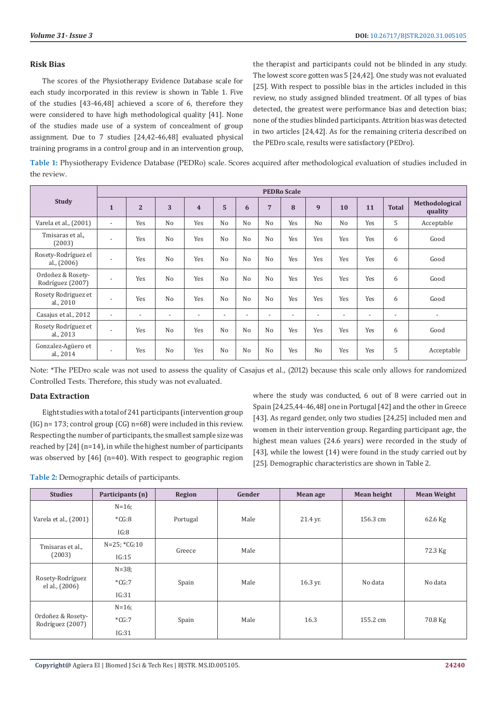# **Risk Bias**

The scores of the Physiotherapy Evidence Database scale for each study incorporated in this review is shown in Table 1. Five of the studies [43-46,48] achieved a score of 6, therefore they were considered to have high methodological quality [41]. None of the studies made use of a system of concealment of group assignment. Due to 7 studies [24,42-46,48] evaluated physical training programs in a control group and in an intervention group,

the therapist and participants could not be blinded in any study. The lowest score gotten was 5 [24,42]. One study was not evaluated [25]. With respect to possible bias in the articles included in this review, no study assigned blinded treatment. Of all types of bias detected, the greatest were performance bias and detection bias; none of the studies blinded participants. Attrition bias was detected in two articles [24,42]. As for the remaining criteria described on the PEDro scale, results were satisfactory (PEDro).

**Table 1:** Physiotherapy Evidence Database (PEDRo) scale. Scores acquired after methodological evaluation of studies included in the review.

|                                       | <b>PEDRo Scale</b>       |                          |                          |                          |                |                          |                          |                          |                |                          |                          |                          |                           |
|---------------------------------------|--------------------------|--------------------------|--------------------------|--------------------------|----------------|--------------------------|--------------------------|--------------------------|----------------|--------------------------|--------------------------|--------------------------|---------------------------|
| <b>Study</b>                          | $\mathbf{1}$             | $\overline{2}$           | 3                        | $\overline{\mathbf{4}}$  | 5              | 6                        | $\overline{7}$           | 8                        | 9              | 10                       | 11                       | <b>Total</b>             | Methodological<br>quality |
| Varela et al., (2001)                 | $\overline{\phantom{0}}$ | Yes                      | No                       | Yes                      | N <sub>o</sub> | N <sub>o</sub>           | N <sub>o</sub>           | Yes                      | N <sub>o</sub> | N <sub>o</sub>           | Yes                      | 5                        | Acceptable                |
| Tmisaras et al.,<br>(2003)            | $\overline{a}$           | Yes                      | N <sub>o</sub>           | Yes                      | No             | No                       | N <sub>0</sub>           | Yes                      | Yes            | Yes                      | Yes                      | 6                        | Good                      |
| Rosety-Rodríguez el<br>al., $(2006)$  | $\overline{\phantom{a}}$ | Yes                      | N <sub>0</sub>           | Yes                      | No             | No                       | N <sub>o</sub>           | Yes                      | Yes            | Yes                      | Yes                      | 6                        | Good                      |
| Ordoñez & Rosety-<br>Rodríguez (2007) | $\overline{a}$           | Yes                      | N <sub>0</sub>           | Yes                      | No             | No                       | N <sub>0</sub>           | Yes                      | Yes            | Yes                      | Yes                      | 6                        | Good                      |
| Rosety Rodriguez et<br>al., 2010      | $\overline{\phantom{a}}$ | Yes                      | N <sub>0</sub>           | Yes                      | No             | No                       | N <sub>0</sub>           | Yes                      | Yes            | Yes                      | Yes                      | 6                        | Good                      |
| Casajus et al., 2012                  | $\overline{a}$           | $\overline{\phantom{a}}$ | $\overline{\phantom{a}}$ | $\overline{\phantom{0}}$ | $\overline{a}$ | $\overline{\phantom{a}}$ | $\overline{\phantom{a}}$ | $\overline{\phantom{a}}$ | $\overline{a}$ | $\overline{\phantom{0}}$ | $\overline{\phantom{a}}$ | $\overline{\phantom{a}}$ | $\overline{\phantom{a}}$  |
| Rosety Rodríguez et<br>al., 2013      | $\overline{a}$           | Yes                      | N <sub>0</sub>           | Yes                      | No             | No                       | N <sub>o</sub>           | Yes                      | Yes            | Yes                      | Yes                      | 6                        | Good                      |
| Gonzalez-Agüero et<br>al., 2014       | $\overline{\phantom{a}}$ | Yes                      | N <sub>0</sub>           | Yes                      | N <sub>o</sub> | N <sub>o</sub>           | N <sub>o</sub>           | Yes                      | No             | Yes                      | Yes                      | 5                        | Acceptable                |

Note: \*The PEDro scale was not used to assess the quality of Casajus et al., (2012) because this scale only allows for randomized Controlled Tests. Therefore, this study was not evaluated.

# **Data Extraction**

Eight studies with a total of 241 participants (intervention group (IG) n= 173; control group (CG) n=68) were included in this review. Respecting the number of participants, the smallest sample size was reached by [24] (n=14), in while the highest number of participants was observed by [46] (n=40). With respect to geographic region

where the study was conducted, 6 out of 8 were carried out in Spain [24,25,44-46,48] one in Portugal [42] and the other in Greece [43]. As regard gender, only two studies [24,25] included men and women in their intervention group. Regarding participant age, the highest mean values (24.6 years) were recorded in the study of [43], while the lowest (14) were found in the study carried out by [25]. Demographic characteristics are shown in Table 2.

**Table 2:** Demographic details of participants.

| <b>Studies</b>                        | Participants (n) | Region   | Gender | Mean age | Mean height | <b>Mean Weight</b> |
|---------------------------------------|------------------|----------|--------|----------|-------------|--------------------|
|                                       | $N=16$ ;         |          |        |          |             |                    |
| Varela et al., (2001)                 | $*CG:8$          | Portugal | Male   | 21.4 yr. | 156.3 cm    | 62.6 Kg            |
|                                       | IG:8             |          |        |          |             |                    |
| Tmisaras et al.,                      | $N=25; *CG:10$   | Greece   | Male   |          |             | 72.3 Kg            |
| (2003)                                | IG:15            |          |        |          |             |                    |
| Rosety-Rodríguez<br>el al., (2006)    | $N = 38$ ;       |          | Male   | 16.3 yr. | No data     | No data            |
|                                       | $*CG:7$          | Spain    |        |          |             |                    |
|                                       | IG:31            |          |        |          |             |                    |
| Ordoñez & Rosety-<br>Rodríguez (2007) | $N=16$ ;         |          | Male   | 16.3     | 155.2 cm    | 70.8 Kg            |
|                                       | $*CG:7$          | Spain    |        |          |             |                    |
|                                       | IG:31            |          |        |          |             |                    |

**Copyright@** Agüera EI | Biomed J Sci & Tech Res | BJSTR. MS.ID.005105.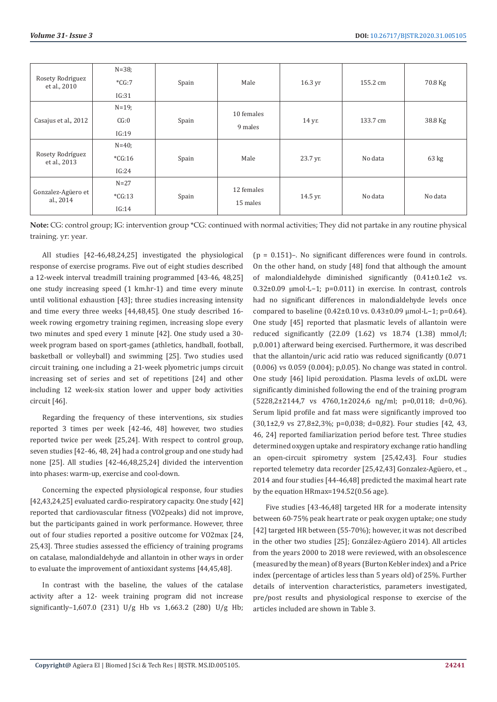|                                  | $N = 38$ ; |       |            |                    |          |                 |  |
|----------------------------------|------------|-------|------------|--------------------|----------|-----------------|--|
| Rosety Rodriguez<br>et al., 2010 | $*CG:7$    | Spain | Male       | $16.3 \,\text{yr}$ | 155.2 cm | 70.8 Kg         |  |
|                                  | IG:31      |       |            |                    |          |                 |  |
|                                  | $N = 19$ ; |       |            |                    |          |                 |  |
| Casajus et al., 2012             | CG:0       | Spain | 10 females | 14 yr.             | 133.7 cm | 38.8 Kg         |  |
|                                  | IG:19      |       | 9 males    |                    |          |                 |  |
| Rosety Rodríguez<br>et al., 2013 | $N = 40$ ; |       | Male       | 23.7 yr.           | No data  | $63 \text{ kg}$ |  |
|                                  | $*CG:16$   | Spain |            |                    |          |                 |  |
|                                  | IG:24      |       |            |                    |          |                 |  |
| Gonzalez-Agüero et<br>al., 2014  | $N=27$     |       |            | 14.5 yr.           | No data  | No data         |  |
|                                  | $*CG:13$   | Spain | 12 females |                    |          |                 |  |
|                                  | IG:14      |       | 15 males   |                    |          |                 |  |

**Note:** CG: control group; IG: intervention group \*CG: continued with normal activities; They did not partake in any routine physical training. yr: year.

All studies [42-46,48,24,25] investigated the physiological response of exercise programs. Five out of eight studies described a 12-week interval treadmill training programmed [43-46, 48,25] one study increasing speed (1 km.hr-1) and time every minute until volitional exhaustion [43]; three studies increasing intensity and time every three weeks [44,48,45]. One study described 16 week rowing ergometry training regimen, increasing slope every two minutes and sped every 1 minute [42]. One study used a 30 week program based on sport-games (athletics, handball, football, basketball or volleyball) and swimming [25]. Two studies used circuit training, one including a 21-week plyometric jumps circuit increasing set of series and set of repetitions [24] and other including 12 week-six station lower and upper body activities circuit [46].

Regarding the frequency of these interventions, six studies reported 3 times per week [42-46, 48] however, two studies reported twice per week [25,24]. With respect to control group, seven studies [42-46, 48, 24] had a control group and one study had none [25]. All studies [42-46,48,25,24] divided the intervention into phases: warm-up, exercise and cool-down.

Concerning the expected physiological response, four studies [42,43,24,25] evaluated cardio-respiratory capacity. One study [42] reported that cardiovascular fitness (VO2peaks) did not improve, but the participants gained in work performance. However, three out of four studies reported a positive outcome for VO2max [24, 25,43]. Three studies assessed the efficiency of training programs on catalase, malondialdehyde and allantoin in other ways in order to evaluate the improvement of antioxidant systems [44,45,48].

In contrast with the baseline, the values of the catalase activity after a 12- week training program did not increase significantly–1,607.0 (231) U/g Hb vs 1,663.2 (280) U/g Hb;  $(p = 0.151)$ –. No significant differences were found in controls. On the other hand, on study [48] fond that although the amount of malondialdehyde diminished significantly (0.41±0.1e2 vs. 0.32±0.09 μmol·L−1; p=0.011) in exercise. In contrast, controls had no significant differences in malondialdehyde levels once compared to baseline (0.42±0.10 vs. 0.43±0.09 μmol·L−1; p=0.64). One study [45] reported that plasmatic levels of allantoin were reduced significantly (22.09 (1.62) vs 18.74 (1.38) mmol/l; p,0.001) afterward being exercised. Furthermore, it was described that the allantoin/uric acid ratio was reduced significantly (0.071 (0.006) vs 0.059 (0.004); p,0.05). No change was stated in control. One study [46] lipid peroxidation. Plasma levels of oxLDL were significantly diminished following the end of the training program (5228,2±2144,7 vs 4760,1±2024,6 ng/ml; p=0,0118; d=0,96). Serum lipid profile and fat mass were significantly improved too  $(30,1\pm2,9 \text{ vs } 27,8\pm2,3\%; \text{ p=0,038; d=0,82)}.$  Four studies [42, 43, 46, 24] reported familiarization period before test. Three studies determined oxygen uptake and respiratory exchange ratio handling an open-circuit spirometry system [25,42,43]. Four studies reported telemetry data recorder [25,42,43] Gonzalez-Agüero, et ., 2014 and four studies [44-46,48] predicted the maximal heart rate by the equation HRmax=194.52(0.56 age).

Five studies [43-46,48] targeted HR for a moderate intensity between 60-75% peak heart rate or peak oxygen uptake; one study [42] targeted HR between (55-70%); however, it was not described in the other two studies [25]; González-Agüero 2014). All articles from the years 2000 to 2018 were reviewed, with an obsolescence (measured by the mean) of 8 years (Burton Kebler index) and a Price index (percentage of articles less than 5 years old) of 25%. Further details of intervention characteristics, parameters investigated, pre/post results and physiological response to exercise of the articles included are shown in Table 3.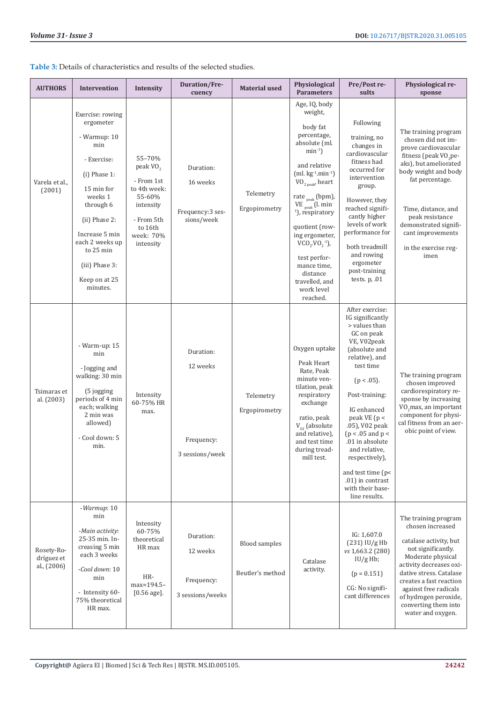**Table 3:** Details of characteristics and results of the selected studies.

| <b>AUTHORS</b>                          | Intervention                                                                                                                                                                                                                                  | Intensity                                                                                                                              | Duration/Fre-<br>cuency                                 | <b>Material used</b>                     | Physiological<br><b>Parameters</b>                                                                                                                                                                                                                                                                                                                                                                                                         | Pre/Post re-<br>sults                                                                                                                                                                                                                                                                                                                                                                | Physiological re-<br>sponse                                                                                                                                                                                                                                                                         |
|-----------------------------------------|-----------------------------------------------------------------------------------------------------------------------------------------------------------------------------------------------------------------------------------------------|----------------------------------------------------------------------------------------------------------------------------------------|---------------------------------------------------------|------------------------------------------|--------------------------------------------------------------------------------------------------------------------------------------------------------------------------------------------------------------------------------------------------------------------------------------------------------------------------------------------------------------------------------------------------------------------------------------------|--------------------------------------------------------------------------------------------------------------------------------------------------------------------------------------------------------------------------------------------------------------------------------------------------------------------------------------------------------------------------------------|-----------------------------------------------------------------------------------------------------------------------------------------------------------------------------------------------------------------------------------------------------------------------------------------------------|
| Varela et al.,<br>(2001)                | Exercise: rowing<br>ergometer<br>- Warmup: 10<br>min<br>- Exercise:<br>$(i)$ Phase 1:<br>15 min for<br>weeks 1<br>through 6<br>(ii) Phase 2:<br>Increase 5 min<br>each 2 weeks up<br>to 25 min<br>(iii) Phase 3:<br>Keep on at 25<br>minutes. | 55-70%<br>peak VO <sub>2</sub><br>- From 1st<br>to 4th week:<br>55-60%<br>intensity<br>- From 5th<br>to 16th<br>week: 70%<br>intensity | Duration:<br>16 weeks<br>Frequency:3 ses-<br>sions/week | Telemetry<br>Ergopirometry               | Age, IQ, body<br>weight,<br>body fat<br>percentage,<br>absolute (ml.<br>$min^{-1}$ )<br>and relative<br>$(ml. kg-1.min-1)$<br>$\mbox{\rm VO}_{\mbox{\tiny 2\,peak}}$ heart<br>rate $_{\text{peak}}$ (bpm),<br>VE $_{\text{peak}}$ (l. min <sup>-</sup><br><sup>1</sup> ), respiratory<br>quotient (row-<br>ing ergometer,<br>$VCO_2$ $VO_2^{-1}$ ),<br>test perfor-<br>mance time,<br>distance<br>travelled, and<br>work level<br>reached. | Following<br>training, no<br>changes in<br>cardiovascular<br>fitness had<br>occurred for<br>intervention<br>group.<br>However, they<br>reached signifi-<br>cantly higher<br>levels of work<br>performance for<br>both treadmill<br>and rowing<br>ergometer<br>post-training<br>tests. $p$ , .01                                                                                      | The training program<br>chosen did not im-<br>prove cardiovascular<br>fitness (peak VO <sub>2</sub> pe-<br>aks), but ameliorated<br>body weight and body<br>fat percentage.<br>Time, distance, and<br>peak resistance<br>demonstrated signifi-<br>cant improvements<br>in the exercise reg-<br>imen |
| Tsimaras et<br>al. (2003)               | - Warm-up: 15<br>min<br>- Jogging and<br>walking: 30 min<br>(5 jogging)<br>periods of 4 min<br>each; walking<br>2 min was<br>allowed)<br>- Cool down: 5<br>min.                                                                               | Intensity<br>60-75% HR<br>max.                                                                                                         | Duration:<br>12 weeks<br>Frequency:<br>3 sessions/week  | Telemetry<br>Ergopirometry               | Oxygen uptake<br>Peak Heart<br>Rate, Peak<br>minute ven-<br>tilation, peak<br>respiratory<br>exchange<br>ratio, peak<br>$V_{02}$ (absolute<br>and relative),<br>and test time<br>during tread-<br>mill test.                                                                                                                                                                                                                               | After exercise:<br>IG significantly<br>> values than<br>GC on peak<br>VE, V02peak<br>(absolute and<br>relative), and<br>test time<br>$(p < .05)$ .<br>Post-training:<br>IG enhanced<br>peak VE ( $p <$<br>.05), V02 peak<br>$(p < .05$ and $p <$<br>.01 in absolute<br>and relative,<br>respectively),<br>and test time (p<<br>.01) in contrast<br>with their base-<br>line results. | The training program<br>chosen improved<br>cardiorespiratory re-<br>sponse by increasing<br>VO <sub>2</sub> max, an important<br>component for physi-<br>cal fitness from an aer-<br>obic point of view.                                                                                            |
| Rosety-Ro-<br>dríguez et<br>al., (2006) | -Warmup: 10<br>min<br>-Main activity:<br>25-35 min. In-<br>creasing 5 min<br>each 3 weeks<br>-Cool down: 10<br>min<br>- Intensity 60-<br>75% theoretical<br>HR max.                                                                           | Intensity<br>60-75%<br>theoretical<br>HR max<br>HR-<br>max=194.5-<br>$[0.56 \text{ age}].$                                             | Duration:<br>12 weeks<br>Frequency:<br>3 sessions/weeks | <b>Blood samples</b><br>Beutler's method | Catalase<br>activity.                                                                                                                                                                                                                                                                                                                                                                                                                      | IG: 1,607.0<br>$(231)$ IU/g Hb<br>vs 1,663.2 (280)<br>IU/gHb;<br>$(p = 0.151)$<br>CG: No signifi-<br>cant differences                                                                                                                                                                                                                                                                | The training program<br>chosen increased<br>catalase activity, but<br>not significantly.<br>Moderate physical<br>activity decreases oxi-<br>dative stress. Catalase<br>creates a fast reaction<br>against free radicals<br>of hydrogen peroxide,<br>converting them into<br>water and oxygen.       |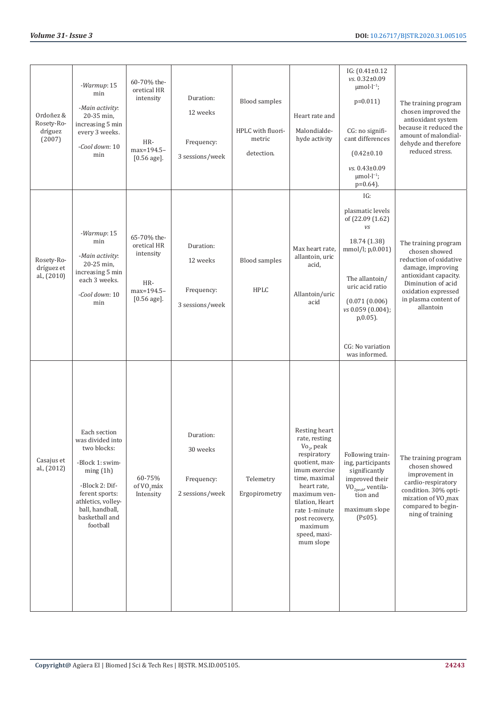| Ordoñez &<br>Rosety-Ro-<br>dríguez<br>(2007) | -Warmup: 15<br>min<br>-Main activity:<br>20-35 min,<br>increasing 5 min<br>every 3 weeks.<br>-Cool down: 10<br>min                                                                        | 60-70% the-<br>oretical HR<br>intensity<br>HR-<br>max=194.5-<br>$[0.56 \text{ age}]$ . | Duration:<br>12 weeks<br>Frequency:<br>3 sessions/week | <b>Blood samples</b><br>HPLC with fluori-<br>metric<br>detection. | Heart rate and<br>Malondialde-<br>hyde activity                                                                                                                                                                                                   | $IG: (0.41 \pm 0.12)$<br>$vs. 0.32 \pm 0.09$<br>$\mu$ mol·l <sup>-1</sup> ;<br>$p=0.011$<br>CG: no signifi-<br>cant differences<br>$(0.42 \pm 0.10)$<br>vs. 0.43±0.09<br>$\mu$ mol·l <sup>-1</sup> ;<br>$p=0.64$ ).   | The training program<br>chosen improved the<br>antioxidant system<br>because it reduced the<br>amount of malondial-<br>dehyde and therefore<br>reduced stress.                                  |
|----------------------------------------------|-------------------------------------------------------------------------------------------------------------------------------------------------------------------------------------------|----------------------------------------------------------------------------------------|--------------------------------------------------------|-------------------------------------------------------------------|---------------------------------------------------------------------------------------------------------------------------------------------------------------------------------------------------------------------------------------------------|-----------------------------------------------------------------------------------------------------------------------------------------------------------------------------------------------------------------------|-------------------------------------------------------------------------------------------------------------------------------------------------------------------------------------------------|
| Rosety-Ro-<br>dríguez et<br>al., (2010)      | -Warmup: 15<br>min<br>-Main activity:<br>20-25 min,<br>increasing 5 min<br>each 3 weeks.<br>-Cool down: 10<br>min                                                                         | 65-70% the-<br>oretical HR<br>intensity<br>HR-<br>max=194.5-<br>$[0.56 \text{ age}]$ . | Duration:<br>12 weeks<br>Frequency:<br>3 sessions/week | <b>Blood</b> samples<br><b>HPLC</b>                               | Max heart rate,<br>allantoin, uric<br>acid,<br>Allantoin/uric<br>acid                                                                                                                                                                             | IG:<br>plasmatic levels<br>of (22.09 (1.62)<br>vs<br>18.74 (1.38)<br>mmol/l; p,0.001)<br>The allantoin/<br>uric acid ratio<br>(0.071(0.006)<br>vs 0.059 (0.004);<br>$p, 0.05$ ).<br>CG: No variation<br>was informed. | The training program<br>chosen showed<br>reduction of oxidative<br>damage, improving<br>antioxidant capacity.<br>Diminution of acid<br>oxidation expressed<br>in plasma content of<br>allantoin |
| Casajus et<br>al., (2012)                    | Each section<br>was divided into<br>two blocks:<br>-Block 1: swim-<br>ming(1h)<br>-Block 2: Dif-<br>ferent sports:<br>athletics, volley-<br>ball, handball,<br>basketball and<br>football | 60-75%<br>of VO <sub>2</sub> máx<br>Intensity                                          | Duration:<br>30 weeks<br>Frequency:<br>2 sessions/week | Telemetry<br>Ergopirometry                                        | Resting heart<br>rate, resting<br>$Vo_{2}$ , peak<br>respiratory<br>quotient, max-<br>imum exercise<br>time, maximal<br>heart rate,<br>maximum ven-<br>tilation, Heart<br>rate 1-minute<br>post recovery,<br>maximum<br>speed, maxi-<br>mum slope | Following train-<br>ing, participants<br>significantly<br>improved their<br>$\mbox{\rm VO}_{\mbox{\tiny 2peak'}}$ ventilation and<br>maximum slope<br>$(P \le 05)$ .                                                  | The training program<br>chosen showed<br>improvement in<br>cardio-respiratory<br>condition. 30% opti-<br>mization of VO <sub>2</sub> max<br>compared to begin-<br>ning of training              |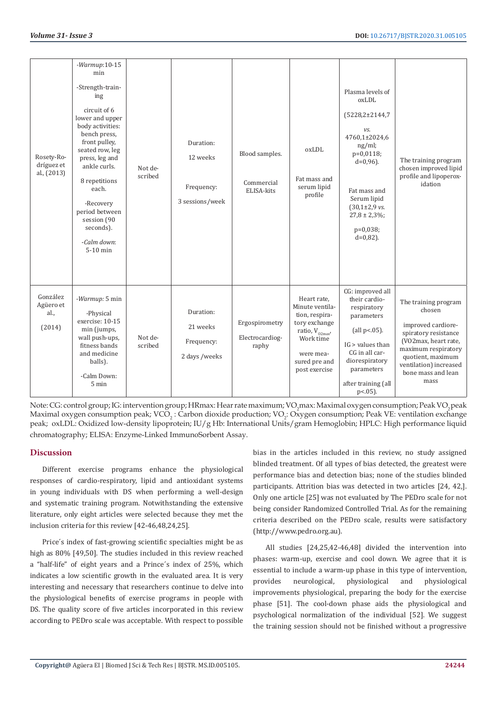| Rosety-Ro-<br>dríguez et<br>al., (2013) | $-Warmup:10-15$<br>min<br>-Strength-train-<br>ing<br>circuit of 6<br>lower and upper<br>body activities:<br>bench press,<br>front pulley,<br>seated row, leg<br>press, leg and<br>ankle curls.<br>8 repetitions<br>each.<br>-Recovery<br>period between<br>session (90<br>seconds).<br>-Calm down:<br>$5-10$ min | Not de-<br>scribed | Duration:<br>12 weeks<br>Frequency:<br>3 sessions/week | Blood samples.<br>Commercial<br>ELISA-kits | oxLDL<br>Fat mass and<br>serum lipid<br>profile                                                                                                        | Plasma levels of<br>oxLDL<br>$(5228, 2 \pm 2144, 7$<br>VS.<br>4760,1±2024,6<br>ng/ml;<br>p=0,0118;<br>$d=0,96$ ).<br>Fat mass and<br>Serum lipid<br>$(30,1\pm2,9$ vs.<br>$27,8 \pm 2,3\%$ ;<br>p=0,038;<br>$d=0,82$ ). | The training program<br>chosen improved lipid<br>profile and lipoperox-<br>idation                                                                                                                       |
|-----------------------------------------|------------------------------------------------------------------------------------------------------------------------------------------------------------------------------------------------------------------------------------------------------------------------------------------------------------------|--------------------|--------------------------------------------------------|--------------------------------------------|--------------------------------------------------------------------------------------------------------------------------------------------------------|------------------------------------------------------------------------------------------------------------------------------------------------------------------------------------------------------------------------|----------------------------------------------------------------------------------------------------------------------------------------------------------------------------------------------------------|
| González<br>Agüero et<br>al.,<br>(2014) | -Warmup: 5 min<br>-Physical<br>exercise: 10-15<br>min (jumps,<br>wall push-ups,<br>fitness bands<br>and medicine<br>balls).<br>-Calm Down:<br>5 min                                                                                                                                                              | Not de-<br>scribed | Duration:<br>21 weeks<br>Frequency:<br>2 days /weeks   | Ergospirometry<br>Electrocardiog-<br>raphy | Heart rate.<br>Minute ventila-<br>tion, respira-<br>tory exchange<br>ratio, V $_{\rm 02max'}$ Work time<br>were mea-<br>sured pre and<br>post exercise | CG: improved all<br>their cardio-<br>respiratory<br>parameters<br>(all $p<0.05$ ).<br>$IG >$ values than<br>CG in all car-<br>diorespiratory<br>parameters<br>after training (all<br>$p<0.05$ ).                       | The training program<br>chosen<br>improved cardiore-<br>spiratory resistance<br>(VO2max, heart rate,<br>maximum respiratory<br>quotient, maximum<br>ventilation) increased<br>bone mass and lean<br>mass |

Note: CG: control group; IG: intervention group; HRmax: Hear rate maximum; VO<sub>2</sub>max: Maximal oxygen consumption; Peak VO<sub>2</sub>peak Maximal oxygen consumption peak; VCO<sub>2</sub> : Carbon dioxide production; VO<sub>2</sub>: Oxygen consumption; Peak VE: ventilation exchange peak; oxLDL: Oxidized low-density lipoprotein; IU/g Hb: International Units/gram Hemoglobin; HPLC: High performance liquid chromatography; ELISA: Enzyme-Linked ImmunoSorbent Assay.

# **Discussion**

Different exercise programs enhance the physiological responses of cardio-respiratory, lipid and antioxidant systems in young individuals with DS when performing a well-design and systematic training program. Notwithstanding the extensive literature, only eight articles were selected because they met the inclusion criteria for this review [42-46,48,24,25].

Price´s index of fast-growing scientific specialties might be as high as 80% [49,50]. The studies included in this review reached a "half-life" of eight years and a Prince´s index of 25%, which indicates a low scientific growth in the evaluated area. It is very interesting and necessary that researchers continue to delve into the physiological benefits of exercise programs in people with DS. The quality score of five articles incorporated in this review according to PEDro scale was acceptable. With respect to possible bias in the articles included in this review, no study assigned blinded treatment. Of all types of bias detected, the greatest were performance bias and detection bias; none of the studies blinded participants. Attrition bias was detected in two articles [24, 42,]. Only one article [25] was not evaluated by The PEDro scale for not being consider Randomized Controlled Trial. As for the remaining criteria described on the PEDro scale, results were satisfactory (http://www.pedro.org.au).

All studies [24,25,42-46,48] divided the intervention into phases: warm-up, exercise and cool down. We agree that it is essential to include a warm-up phase in this type of intervention, provides neurological, physiological and physiological improvements physiological, preparing the body for the exercise phase [51]. The cool-down phase aids the physiological and psychological normalization of the individual [52]. We suggest the training session should not be finished without a progressive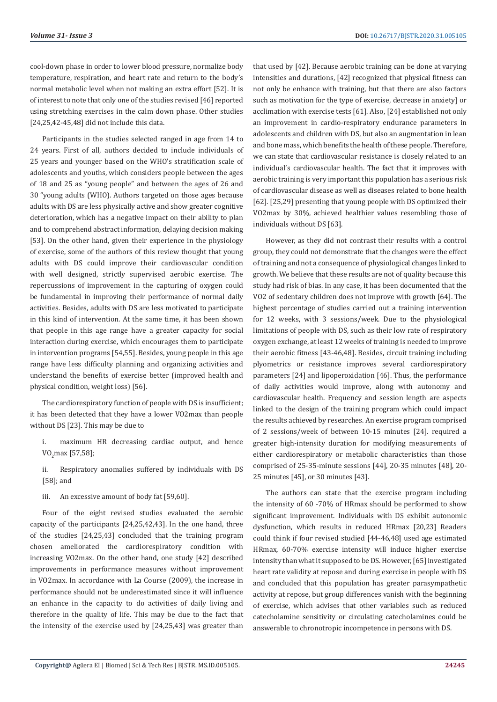cool-down phase in order to lower blood pressure, normalize body temperature, respiration, and heart rate and return to the body's normal metabolic level when not making an extra effort [52]. It is of interest to note that only one of the studies revised [46] reported using stretching exercises in the calm down phase. Other studies [24,25,42-45,48] did not include this data.

Participants in the studies selected ranged in age from 14 to 24 years. First of all, authors decided to include individuals of 25 years and younger based on the WHO's stratification scale of adolescents and youths, which considers people between the ages of 18 and 25 as "young people" and between the ages of 26 and 30 "young adults (WHO). Authors targeted on those ages because adults with DS are less physically active and show greater cognitive deterioration, which has a negative impact on their ability to plan and to comprehend abstract information, delaying decision making [53]. On the other hand, given their experience in the physiology of exercise, some of the authors of this review thought that young adults with DS could improve their cardiovascular condition with well designed, strictly supervised aerobic exercise. The repercussions of improvement in the capturing of oxygen could be fundamental in improving their performance of normal daily activities. Besides, adults with DS are less motivated to participate in this kind of intervention. At the same time, it has been shown that people in this age range have a greater capacity for social interaction during exercise, which encourages them to participate in intervention programs [54,55]. Besides, young people in this age range have less difficulty planning and organizing activities and understand the benefits of exercise better (improved health and physical condition, weight loss) [56].

The cardiorespiratory function of people with DS is insufficient; it has been detected that they have a lower VO2max than people without DS [23]. This may be due to

i. maximum HR decreasing cardiac output, and hence  $\mathsf{V}\mathsf{U}_2$ max [57,58];

ii. Respiratory anomalies suffered by individuals with DS [58]; and

iii. An excessive amount of body fat [59,60].

Four of the eight revised studies evaluated the aerobic capacity of the participants [24,25,42,43]. In the one hand, three of the studies [24,25,43] concluded that the training program chosen ameliorated the cardiorespiratory condition with increasing VO2max. On the other hand, one study [42] described improvements in performance measures without improvement in VO2max. In accordance with La Course (2009), the increase in performance should not be underestimated since it will influence an enhance in the capacity to do activities of daily living and therefore in the quality of life. This may be due to the fact that the intensity of the exercise used by [24,25,43] was greater than

that used by [42]. Because aerobic training can be done at varying intensities and durations, [42] recognized that physical fitness can not only be enhance with training, but that there are also factors such as motivation for the type of exercise, decrease in anxiety] or acclimation with exercise tests [61]. Also, [24] established not only an improvement in cardio-respiratory endurance parameters in adolescents and children with DS, but also an augmentation in lean and bone mass, which benefits the health of these people. Therefore, we can state that cardiovascular resistance is closely related to an individual's cardiovascular health. The fact that it improves with aerobic training is very important this population has a serious risk of cardiovascular disease as well as diseases related to bone health [62]. [25,29] presenting that young people with DS optimized their VO2max by 30%, achieved healthier values resembling those of individuals without DS [63].

However, as they did not contrast their results with a control group, they could not demonstrate that the changes were the effect of training and not a consequence of physiological changes linked to growth. We believe that these results are not of quality because this study had risk of bias. In any case, it has been documented that the VO2 of sedentary children does not improve with growth [64]. The highest percentage of studies carried out a training intervention for 12 weeks, with 3 sessions/week. Due to the physiological limitations of people with DS, such as their low rate of respiratory oxygen exchange, at least 12 weeks of training is needed to improve their aerobic fitness [43-46,48]. Besides, circuit training including plyometrics or resistance improves several cardiorespiratory parameters [24] and lipoperoxidation [46]. Thus, the performance of daily activities would improve, along with autonomy and cardiovascular health. Frequency and session length are aspects linked to the design of the training program which could impact the results achieved by researches. An exercise program comprised of 2 sessions/week of between 10-15 minutes [24]. required a greater high-intensity duration for modifying measurements of either cardiorespiratory or metabolic characteristics than those comprised of 25-35-minute sessions [44], 20-35 minutes [48], 20- 25 minutes [45], or 30 minutes [43].

The authors can state that the exercise program including the intensity of 60 -70% of HRmax should be performed to show significant improvement. Individuals with DS exhibit autonomic dysfunction, which results in reduced HRmax [20,23] Readers could think if four revised studied [44-46,48] used age estimated HRmax, 60-70% exercise intensity will induce higher exercise intensity than what it supposed to be DS. However, [65] investigated heart rate validity at repose and during exercise in people with DS and concluded that this population has greater parasympathetic activity at repose, but group differences vanish with the beginning of exercise, which advises that other variables such as reduced catecholamine sensitivity or circulating catecholamines could be answerable to chronotropic incompetence in persons with DS.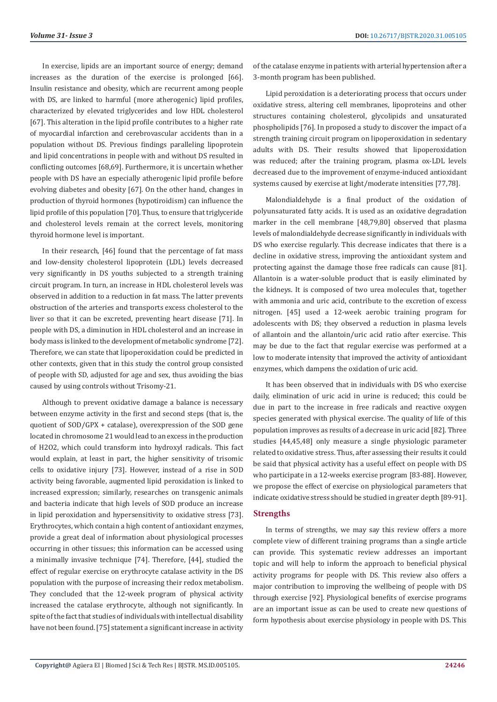In exercise, lipids are an important source of energy; demand increases as the duration of the exercise is prolonged [66]. Insulin resistance and obesity, which are recurrent among people with DS, are linked to harmful (more atherogenic) lipid profiles, characterized by elevated triglycerides and low HDL cholesterol [67]. This alteration in the lipid profile contributes to a higher rate of myocardial infarction and cerebrovascular accidents than in a population without DS. Previous findings paralleling lipoprotein and lipid concentrations in people with and without DS resulted in conflicting outcomes [68,69]. Furthermore, it is uncertain whether people with DS have an especially atherogenic lipid profile before evolving diabetes and obesity [67]. On the other hand, changes in production of thyroid hormones (hypotiroidism) can influence the lipid profile of this population [70]. Thus, to ensure that triglyceride and cholesterol levels remain at the correct levels, monitoring thyroid hormone level is important.

In their research, [46] found that the percentage of fat mass and low-density cholesterol lipoprotein (LDL) levels decreased very significantly in DS youths subjected to a strength training circuit program. In turn, an increase in HDL cholesterol levels was observed in addition to a reduction in fat mass. The latter prevents obstruction of the arteries and transports excess cholesterol to the liver so that it can be excreted, preventing heart disease [71]. In people with DS, a diminution in HDL cholesterol and an increase in body mass is linked to the development of metabolic syndrome [72]. Therefore, we can state that lipoperoxidation could be predicted in other contexts, given that in this study the control group consisted of people with SD, adjusted for age and sex, thus avoiding the bias caused by using controls without Trisomy-21.

Although to prevent oxidative damage a balance is necessary between enzyme activity in the first and second steps (that is, the quotient of SOD/GPX + catalase), overexpression of the SOD gene located in chromosome 21 would lead to an excess in the production of H2O2, which could transform into hydroxyl radicals. This fact would explain, at least in part, the higher sensitivity of trisomic cells to oxidative injury [73]. However, instead of a rise in SOD activity being favorable, augmented lipid peroxidation is linked to increased expression; similarly, researches on transgenic animals and bacteria indicate that high levels of SOD produce an increase in lipid peroxidation and hypersensitivity to oxidative stress [73]. Erythrocytes, which contain a high content of antioxidant enzymes, provide a great deal of information about physiological processes occurring in other tissues; this information can be accessed using a minimally invasive technique [74]. Therefore, [44], studied the effect of regular exercise on erythrocyte catalase activity in the DS population with the purpose of increasing their redox metabolism. They concluded that the 12-week program of physical activity increased the catalase erythrocyte, although not significantly. In spite of the fact that studies of individuals with intellectual disability have not been found. [75] statement a significant increase in activity

of the catalase enzyme in patients with arterial hypertension after a 3-month program has been published.

Lipid peroxidation is a deteriorating process that occurs under oxidative stress, altering cell membranes, lipoproteins and other structures containing cholesterol, glycolipids and unsaturated phospholipids [76]. In proposed a study to discover the impact of a strength training circuit program on lipoperoxidation in sedentary adults with DS. Their results showed that lipoperoxidation was reduced; after the training program, plasma ox-LDL levels decreased due to the improvement of enzyme-induced antioxidant systems caused by exercise at light/moderate intensities [77,78].

Malondialdehyde is a final product of the oxidation of polyunsaturated fatty acids. It is used as an oxidative degradation marker in the cell membrane [48,79,80] observed that plasma levels of malondialdehyde decrease significantly in individuals with DS who exercise regularly. This decrease indicates that there is a decline in oxidative stress, improving the antioxidant system and protecting against the damage those free radicals can cause [81]. Allantoin is a water-soluble product that is easily eliminated by the kidneys. It is composed of two urea molecules that, together with ammonia and uric acid, contribute to the excretion of excess nitrogen. [45] used a 12-week aerobic training program for adolescents with DS; they observed a reduction in plasma levels of allantoin and the allantoin/uric acid ratio after exercise. This may be due to the fact that regular exercise was performed at a low to moderate intensity that improved the activity of antioxidant enzymes, which dampens the oxidation of uric acid.

It has been observed that in individuals with DS who exercise daily, elimination of uric acid in urine is reduced; this could be due in part to the increase in free radicals and reactive oxygen species generated with physical exercise. The quality of life of this population improves as results of a decrease in uric acid [82]. Three studies [44,45,48] only measure a single physiologic parameter related to oxidative stress. Thus, after assessing their results it could be said that physical activity has a useful effect on people with DS who participate in a 12-weeks exercise program [83-88]. However, we propose the effect of exercise on physiological parameters that indicate oxidative stress should be studied in greater depth [89-91].

# **Strengths**

In terms of strengths, we may say this review offers a more complete view of different training programs than a single article can provide. This systematic review addresses an important topic and will help to inform the approach to beneficial physical activity programs for people with DS. This review also offers a major contribution to improving the wellbeing of people with DS through exercise [92]. Physiological benefits of exercise programs are an important issue as can be used to create new questions of form hypothesis about exercise physiology in people with DS. This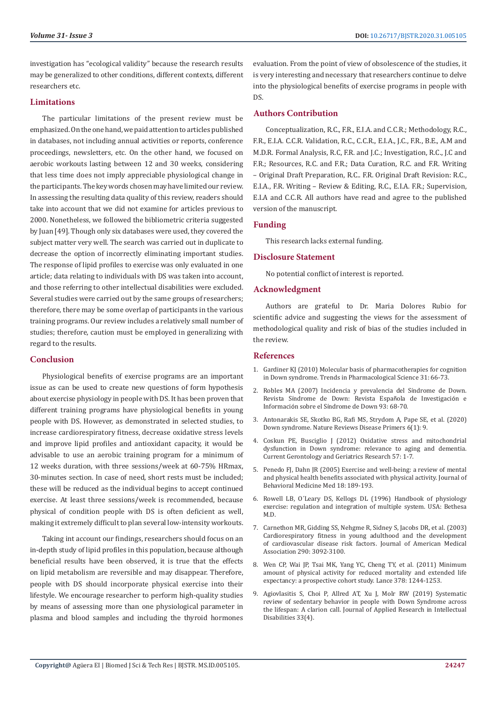investigation has "ecological validity" because the research results may be generalized to other conditions, different contexts, different researchers etc.

# **Limitations**

The particular limitations of the present review must be emphasized. On the one hand, we paid attention to articles published in databases, not including annual activities or reports, conference proceedings, newsletters, etc. On the other hand, we focused on aerobic workouts lasting between 12 and 30 weeks, considering that less time does not imply appreciable physiological change in the participants. The key words chosen may have limited our review. In assessing the resulting data quality of this review, readers should take into account that we did not examine for articles previous to 2000. Nonetheless, we followed the bibliometric criteria suggested by Juan [49]. Though only six databases were used, they covered the subject matter very well. The search was carried out in duplicate to decrease the option of incorrectly eliminating important studies. The response of lipid profiles to exercise was only evaluated in one article; data relating to individuals with DS was taken into account, and those referring to other intellectual disabilities were excluded. Several studies were carried out by the same groups of researchers; therefore, there may be some overlap of participants in the various training programs. Our review includes a relatively small number of studies; therefore, caution must be employed in generalizing with regard to the results.

# **Conclusion**

Physiological benefits of exercise programs are an important issue as can be used to create new questions of form hypothesis about exercise physiology in people with DS. It has been proven that different training programs have physiological benefits in young people with DS. However, as demonstrated in selected studies, to increase cardiorespiratory fitness, decrease oxidative stress levels and improve lipid profiles and antioxidant capacity, it would be advisable to use an aerobic training program for a minimum of 12 weeks duration, with three sessions/week at 60-75% HRmax, 30-minutes section. In case of need, short rests must be included; these will be reduced as the individual begins to accept continued exercise. At least three sessions/week is recommended, because physical of condition people with DS is often deficient as well, making it extremely difficult to plan several low-intensity workouts.

Taking int account our findings, researchers should focus on an in-depth study of lipid profiles in this population, because although beneficial results have been observed, it is true that the effects on lipid metabolism are reversible and may disappear. Therefore, people with DS should incorporate physical exercise into their lifestyle. We encourage researcher to perform high-quality studies by means of assessing more than one physiological parameter in plasma and blood samples and including the thyroid hormones evaluation. From the point of view of obsolescence of the studies, it is very interesting and necessary that researchers continue to delve into the physiological benefits of exercise programs in people with DS.

### **Authors Contribution**

Conceptualization, R.C., F.R., E.I.A. and C.C.R.; Methodology, R.C., F.R., E.I.A. C.C.R. Validation, R.C., C.C.R., E.I.A., J.C., F.R., B.E., A.M and M.D.R. Formal Analysis, R.C, F.R. and J.C.; Investigation, R.C., J.C and F.R.; Resources, R.C. and F.R.; Data Curation, R.C. and F.R. Writing – Original Draft Preparation, R.C.. F.R. Original Draft Revision: R.C., E.I.A., F.R. Writing – Review & Editing, R.C., E.I.A. F.R.; Supervision, E.I.A and C.C.R. All authors have read and agree to the published version of the manuscript.

# **Funding**

This research lacks external funding.

#### **Disclosure Statement**

No potential conflict of interest is reported.

#### **Acknowledgment**

Authors are grateful to Dr. Maria Dolores Rubio for scientific advice and suggesting the views for the assessment of methodological quality and risk of bias of the studies included in the review.

#### **References**

- 1. [Gardiner KJ \(2010\) Molecular basis of pharmacotherapies for cognition](https://pubmed.ncbi.nlm.nih.gov/19963286/) [in Down syndrome. Trends in Pharmacological Science 31: 66-73.](https://pubmed.ncbi.nlm.nih.gov/19963286/)
- 2. [Robles MA \(2007\) Incidencia y prevalencia del S](https://dialnet.unirioja.es/servlet/articulo?codigo=2323311)índrome de Down. Revista Sí[ndrome de Down: Revista Espa](https://dialnet.unirioja.es/servlet/articulo?codigo=2323311)ñola de Investigación e Información sobre el Sí[ndrome de Down 93: 68-70.](https://dialnet.unirioja.es/servlet/articulo?codigo=2323311)
- 3. [Antonarakis SE, Skotko BG, Rafi MS, Strydom A, Pape SE, et al. \(2020\)](https://pubmed.ncbi.nlm.nih.gov/32029743/) [Down syndrome. Nature Reviews Disease Primers 6\(1\): 9.](https://pubmed.ncbi.nlm.nih.gov/32029743/)
- 4. [Coskun PE, Busciglio J \(2012\) Oxidative stress and mitochondrial](https://pubmed.ncbi.nlm.nih.gov/22611387/) [dysfunction in Down syndrome: relevance to aging and dementia.](https://pubmed.ncbi.nlm.nih.gov/22611387/) [Current Gerontology and Geriatrics Research 57: 1-7.](https://pubmed.ncbi.nlm.nih.gov/22611387/)
- 5. [Penedo FJ, Dahn JR \(2005\) Exercise and well-being: a review of mental](https://pubmed.ncbi.nlm.nih.gov/16639173/) [and physical health benefits associated with physical activity. Journal of](https://pubmed.ncbi.nlm.nih.gov/16639173/) [Behavioral Medicine Med 18: 189-193.](https://pubmed.ncbi.nlm.nih.gov/16639173/)
- 6. Rowell LB, O´Leary DS, Kellogs DL (1996) Handbook of physiology exercise: regulation and integration of multiple system. USA: Bethesa M.D.
- 7. [Carnethon MR, Gidding SS, Nehgme R, Sidney S, Jacobs DR, et al. \(2003\)](https://pubmed.ncbi.nlm.nih.gov/14679272/) [Cardiorespiratory fitness in young adulthood and the development](https://pubmed.ncbi.nlm.nih.gov/14679272/) [of cardiovascular disease risk factors. Journal of American Medical](https://pubmed.ncbi.nlm.nih.gov/14679272/) [Association 290: 3092-3100.](https://pubmed.ncbi.nlm.nih.gov/14679272/)
- 8. Wen CP, Wai JP, Tsai MK, Yang YC, Cheng TY, et al. (2011) Minimum amount of physical activity for reduced mortality and extended life expectancy: a prospective cohort study. Lance 378: 1244-1253.
- 9. [Agiovlasitis S, Choi P, Allred AT, Xu J, Molr RW \(2019\) Systematic](https://www.researchgate.net/publication/335349362_Systematic_review_of_sedentary_behaviour_in_people_with_Down_syndrome_across_the_lifespan_A_clarion_call) [review of sedentary behavior in people with Down Syndrome across](https://www.researchgate.net/publication/335349362_Systematic_review_of_sedentary_behaviour_in_people_with_Down_syndrome_across_the_lifespan_A_clarion_call) [the lifespan: A clarion call. Journal of Applied Research in Intellectual](https://www.researchgate.net/publication/335349362_Systematic_review_of_sedentary_behaviour_in_people_with_Down_syndrome_across_the_lifespan_A_clarion_call) [Disabilities 33\(4\).](https://www.researchgate.net/publication/335349362_Systematic_review_of_sedentary_behaviour_in_people_with_Down_syndrome_across_the_lifespan_A_clarion_call)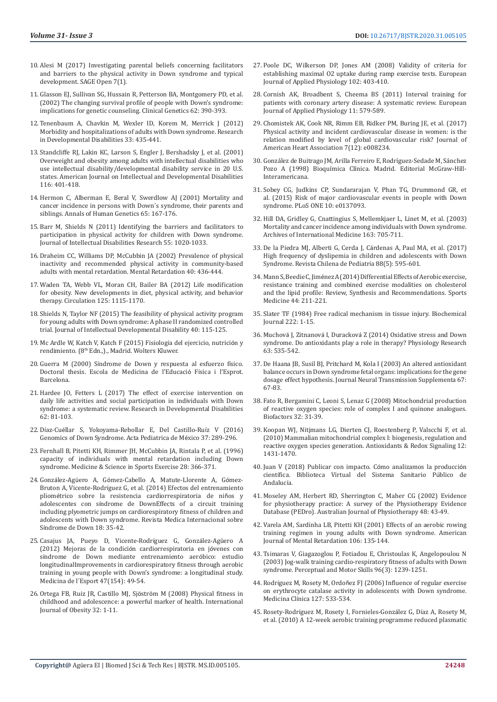- 10. [Alesi M \(2017\) Investigating parental beliefs concerning facilitators](https://www.researchgate.net/publication/312365999_Investigating_Parental_Beliefs_Concerning_Facilitators_and_Barriers_to_the_Physical_Activity_in_Down_Syndrome_and_Typical_Development)  [and barriers to the physical activity in Down syndrome and typical](https://www.researchgate.net/publication/312365999_Investigating_Parental_Beliefs_Concerning_Facilitators_and_Barriers_to_the_Physical_Activity_in_Down_Syndrome_and_Typical_Development)  [development. SAGE Open 7\(1\).](https://www.researchgate.net/publication/312365999_Investigating_Parental_Beliefs_Concerning_Facilitators_and_Barriers_to_the_Physical_Activity_in_Down_Syndrome_and_Typical_Development)
- 11. [Glasson EJ, Sullivan SG, Hussain R, Petterson BA, Montgomery PD, et al.](https://pubmed.ncbi.nlm.nih.gov/12431254/)  [\(2002\) The changing survival profile of people with Down's syndrome:](https://pubmed.ncbi.nlm.nih.gov/12431254/)  [implications for genetic counseling. Clinical Genetics 62: 390-393.](https://pubmed.ncbi.nlm.nih.gov/12431254/)
- 12. Tenenbaum A, Chavkin M, Wexler ID, Korem M, Merrick J (2012) Morbidity and hospitalizations of adults with Down syndrome. Research in Developmental Disabilities 33: 435-441.
- 13. Standcliffe RJ, Lakin KC, Larson S, Engler J, Bershadsky J, et al. (2001) Overweight and obesity among adults with intellectual disabilities who use intellectual disability/developmental disability service in 20 U.S. states. American Journal on Intellectual and Developmental Disabilities 116: 401-418.
- 14. [Hermon C, Alberman E, Beral V, Swerdlow AJ \(2001\) Mortality and](https://onlinelibrary.wiley.com/doi/abs/10.1046/j.1469-1809.2001.6520167.x)  [cancer incidence in persons with Down´s syndrome, their parents and](https://onlinelibrary.wiley.com/doi/abs/10.1046/j.1469-1809.2001.6520167.x)  [siblings. Annals of Human Genetics 65: 167-176.](https://onlinelibrary.wiley.com/doi/abs/10.1046/j.1469-1809.2001.6520167.x)
- 15. Barr M, Shields N (2011) Identifying the barriers and facilitators to participation in physical activity for children with Down syndrome. Journal of Intellectual Disabilities Research 55: 1020-1033.
- 16. [Draheim CC, Williams DP, McCubbin JA \(2002\) Prevalence of physical](https://pubmed.ncbi.nlm.nih.gov/12408746/)  [inactivity and recommended physical activity in community-based](https://pubmed.ncbi.nlm.nih.gov/12408746/)  [adults with mental retardation. Mental Retardation 40: 436-444.](https://pubmed.ncbi.nlm.nih.gov/12408746/)
- 17. [Waden TA, Webb VL, Moran CH, Bailer BA \(2012\) Life modification](https://pubmed.ncbi.nlm.nih.gov/22392863/)  [for obesity. New developments in diet, physical activity, and behavior](https://pubmed.ncbi.nlm.nih.gov/22392863/)  [therapy. Circulation 125: 1115-1170.](https://pubmed.ncbi.nlm.nih.gov/22392863/)
- 18. [Shields N, Taylor NF \(2015\) The feasibility of physical activity program](https://www.tandfonline.com/doi/abs/10.3109/13668250.2015.1014027)  [for young adults with Down syndrome: A phase II randomized controlled](https://www.tandfonline.com/doi/abs/10.3109/13668250.2015.1014027)  [trial. Journal of Intellectual Developmental Disability 40: 115-125.](https://www.tandfonline.com/doi/abs/10.3109/13668250.2015.1014027)
- 19. [Mc Ardle W, Katch V, Katch F \(2015\) Fisiolog](http://altorendimiento.com/fisiologia-del-ejercicio-nutricion-rendimiento-y-salud-8a-ed/)ía del ejercicio, nutrición y rendimiento. (8<sup>th</sup> Edn.,)., Madrid. Wolters Kluwer.
- 20. Guerra M (2000) Sí[ndrome de Down y respuesta al esfuerzo f](https://dialnet.unirioja.es/servlet/tesis?codigo=3188)ísico. [Doctoral thesis. Escola de Medicina de l'Educaci](https://dialnet.unirioja.es/servlet/tesis?codigo=3188)ó Física i l'Esprot. [Barcelona.](https://dialnet.unirioja.es/servlet/tesis?codigo=3188)
- 21. [Hardee JO, Fetters L \(2017\) The effect of exercise intervention on](https://pubmed.ncbi.nlm.nih.gov/28119223/)  [daily life activities and social participation in individuals with Down](https://pubmed.ncbi.nlm.nih.gov/28119223/)  [syndrome: a systematic review. Research in Developmental Disabilities](https://pubmed.ncbi.nlm.nih.gov/28119223/)  [62: 81-103.](https://pubmed.ncbi.nlm.nih.gov/28119223/)
- 22. Díaz-Cuéllar S, Yokoyama-Rebollar E, Del Castillo-Ruíz V (2016) Genomics of Down Syndrome. Acta Pediatrica de México 37: 289-296.
- 23. [Fernhall B, Pitetti KH, Rimmer JH, McCubbin JA, Rintala P, et al. \(1996\)](https://pubmed.ncbi.nlm.nih.gov/8776225/)  [capacity of individuals with mental retardation including Down](https://pubmed.ncbi.nlm.nih.gov/8776225/)  [syndrome. Medicine & Science in Sports Exercise 28: 366-371.](https://pubmed.ncbi.nlm.nih.gov/8776225/)
- 24. González-Agüero A, Gó[mez-Cabello A, Matute-Llorente A, G](https://www.sciencedirect.com/science/article/abs/pii/S1138207414700533)ómez-Bruton A, Vicente-Rodrí[guez G, et al. \(2014\) Efectos del entrenamiento](https://www.sciencedirect.com/science/article/abs/pii/S1138207414700533)  pliomé[trico sobre la resistencia cardiorrespiratoria de ni](https://www.sciencedirect.com/science/article/abs/pii/S1138207414700533)ños y adolescentes con sí[ndrome de DownEffects of a circuit training](https://www.sciencedirect.com/science/article/abs/pii/S1138207414700533)  [including plyometric jumps on cardiorespiratory fitness of children and](https://www.sciencedirect.com/science/article/abs/pii/S1138207414700533)  [adolescents with Down syndrome. Revista Medica Internacional sobre](https://www.sciencedirect.com/science/article/abs/pii/S1138207414700533)  Sí[ndrome de Down 18: 35-42.](https://www.sciencedirect.com/science/article/abs/pii/S1138207414700533)
- 25. [Casajus JA, Pueyo D, Vicente-Rodr](https://www.sciencedirect.com/science/article/abs/pii/S1886658111000375)íguez G, González-Agüero A [\(2012\) Mejoras de la condici](https://www.sciencedirect.com/science/article/abs/pii/S1886658111000375)ón cardiorrespiratoria en jóvenes con sí[ndrome de Down mediante entrenamiento aer](https://www.sciencedirect.com/science/article/abs/pii/S1886658111000375)óbico: estudio [longitudinalImprovements in cardiorespiratory fitness through aerobic](https://www.sciencedirect.com/science/article/abs/pii/S1886658111000375)  [training in young people with Down's syndrome: a longitudinal study.](https://www.sciencedirect.com/science/article/abs/pii/S1886658111000375)  [Medicina de l´Esport 47\(154\): 49-54.](https://www.sciencedirect.com/science/article/abs/pii/S1886658111000375)
- 26. [Ortega FB, Ruiz JR, Castillo MJ, Sj](https://pubmed.ncbi.nlm.nih.gov/18043605/)öström M (2008) Physical fitness in [childhood and adolescence: a powerful marker of health. International](https://pubmed.ncbi.nlm.nih.gov/18043605/)  [Journal of Obesity 32: 1-11.](https://pubmed.ncbi.nlm.nih.gov/18043605/)
- 27. [Poole DC, Wilkerson DP, Jones AM \(2008\) Validity of criteria for](https://pubmed.ncbi.nlm.nih.gov/17968581/) [establishing maximal O2 uptake during ramp exercise tests. European](https://pubmed.ncbi.nlm.nih.gov/17968581/) [Journal of Applied Physiology 102: 403-410.](https://pubmed.ncbi.nlm.nih.gov/17968581/)
- 28. [Cornish AK, Broadbent S, Cheema BS \(2011\) Interval training for](https://pubmed.ncbi.nlm.nih.gov/20972578/) [patients with coronary artery disease: A systematic review. European](https://pubmed.ncbi.nlm.nih.gov/20972578/) [Journal of Applied Physiology 11: 579-589.](https://pubmed.ncbi.nlm.nih.gov/20972578/)
- 29. [Chomistek AK, Cook NR, Rimm EB, Ridker PM, Buring JE, et al. \(2017\)](https://www.researchgate.net/publication/325716895_Physical_Activity_and_Incident_Cardiovascular_Disease_in_Women_Is_the_Relation_Modified_by_Level_of_Global_Cardiovascular_Risk) [Physical activity and incident cardiovascular disease in women: is the](https://www.researchgate.net/publication/325716895_Physical_Activity_and_Incident_Cardiovascular_Disease_in_Women_Is_the_Relation_Modified_by_Level_of_Global_Cardiovascular_Risk) [relation modified by level of global cardiovascular risk? Journal of](https://www.researchgate.net/publication/325716895_Physical_Activity_and_Incident_Cardiovascular_Disease_in_Women_Is_the_Relation_Modified_by_Level_of_Global_Cardiovascular_Risk) [American Heart Association 7\(12\): e008234.](https://www.researchgate.net/publication/325716895_Physical_Activity_and_Incident_Cardiovascular_Disease_in_Women_Is_the_Relation_Modified_by_Level_of_Global_Cardiovascular_Risk)
- 30. González de Buitrago JM, Arilla Ferreiro E, Rodríguez-Sedade M, Sánchez Pozo A (1998) Bioquímica Clínica. Madrid. Editorial McGraw-Hill-Interamericana.
- 31. [Sobey CG, Judkins CP, Sundararajan V, Phan TG, Drummond GR, et](https://pubmed.ncbi.nlm.nih.gov/26421620/) [al. \(2015\) Risk of major cardiovascular events in people with Down](https://pubmed.ncbi.nlm.nih.gov/26421620/) [syndrome. PLoS ONE 10: e0137093.](https://pubmed.ncbi.nlm.nih.gov/26421620/)
- 32. Hill DA, Gridley G, Cnattingius S, Mellemkjaer L, Linet M, et al. (2003) Mortality and cancer incidence among individuals with Down syndrome. Archives of International Medicine 163: 705-711.
- 33. De la Piedra MJ, Alberti G, Cerda J, Cárdenas A, Paul MA, et al. (2017) High frequency of dyslipemia in children and adolescents with Down Syndrome. Revista Chilena de Pediatría 88(5): 595-601.
- 34. Mann S, Beedie C, Jimé[nez A \(2014\) Differential Effects of Aerobic exercise,](https://pubmed.ncbi.nlm.nih.gov/24174305/) [resistance training and combined exercise modalities on cholesterol](https://pubmed.ncbi.nlm.nih.gov/24174305/) [and the lipid profile: Review, Synthesis and Recommendations. Sports](https://pubmed.ncbi.nlm.nih.gov/24174305/) [Medicine 44: 211-221.](https://pubmed.ncbi.nlm.nih.gov/24174305/)
- 35. [Slater TF \(1984\) Free radical mechanism in tissue injury. Biochemical](https://www.ncbi.nlm.nih.gov/pmc/articles/PMC1144137/) [Journal 222: 1-15.](https://www.ncbi.nlm.nih.gov/pmc/articles/PMC1144137/)
- 36. Muchová J, Zitnanová I, Duracková Z (2014) Oxidative stress and Down syndrome. Do antioxidants play a role in therapy? Physiology Research 63: 535-542.
- 37. [De Haana JB, Susil BJ, Pritchard M, Kola I \(2003\) An altered antioxidant](https://pubmed.ncbi.nlm.nih.gov/15068240/) [balance occurs in Down syndrome fetal organs: implications for the gene](https://pubmed.ncbi.nlm.nih.gov/15068240/) [dosage effect hypothesis. Journal Neural Transmission Supplementa 67:](https://pubmed.ncbi.nlm.nih.gov/15068240/) [67-83.](https://pubmed.ncbi.nlm.nih.gov/15068240/)
- 38. [Fato R, Bergamini C, Leoni S, Lenaz G \(2008\) Mitochondrial production](https://pubmed.ncbi.nlm.nih.gov/19096098/) [of reactive oxygen species: role of complex I and quinone analogues.](https://pubmed.ncbi.nlm.nih.gov/19096098/) [Biofactors 32: 31-39.](https://pubmed.ncbi.nlm.nih.gov/19096098/)
- 39. [Koopan WJ, Nitjmans LG, Dierten CJ, Roestenberg P, Valscchi F, et al.](https://pubmed.ncbi.nlm.nih.gov/19803744/) [\(2010\) Mammalian mitochondrial complex I: biogenesis, regulation and](https://pubmed.ncbi.nlm.nih.gov/19803744/) [reactive oxygen species generation. Antioxidants & Redox Signaling 12:](https://pubmed.ncbi.nlm.nih.gov/19803744/) [1431-1470.](https://pubmed.ncbi.nlm.nih.gov/19803744/)
- 40. [Juan V \(2018\) Publicar con impacto. C](https://www.repositoriosalud.es/handle/10668/2848)ómo analizamos la producción cientí[fica. Biblioteca Virtual del Sistema Sanitario P](https://www.repositoriosalud.es/handle/10668/2848)úblico de [Andaluc](https://www.repositoriosalud.es/handle/10668/2848)ía.
- 41. [Moseley AM, Herbert RD, Sherrington C, Maher CG \(2002\) Evidence](https://pubmed.ncbi.nlm.nih.gov/11869164/) [for physiotherapy practice: A survey of the Physiotherapy Evidence](https://pubmed.ncbi.nlm.nih.gov/11869164/) [Database \(PEDro\). Australian Journal of Physiotherapy 48: 43-49.](https://pubmed.ncbi.nlm.nih.gov/11869164/)
- 42. Varela AM, Sardinha LB, Pitetti KH (2001) Effects of an aerobic rowing training regimen in young adults with Down syndrome. American Journal of Mental Retardation 106: 135-144.
- 43. [Tsimaras V, Giagazoglou P, Fotiadou E, Christoulas K, Angelopoulou N](https://pubmed.ncbi.nlm.nih.gov/12929778/) [\(2003\) Jog-walk training cardio-respiratory fitness of adults with Down](https://pubmed.ncbi.nlm.nih.gov/12929778/) [syndrome. Perceptual and Motor Skills 96\(3\): 1239-1251.](https://pubmed.ncbi.nlm.nih.gov/12929778/)
- 44. Rodríguez M, Rosety M, Ordoñ[ez FJ \(2006\) Influence of regular exercise](https://www.sciencedirect.com/science/article/pii/S002577530672320X) [on erythrocyte catalase activity in adolescents with Down syndrome.](https://www.sciencedirect.com/science/article/pii/S002577530672320X) Medicina Clí[nica 127: 533-534.](https://www.sciencedirect.com/science/article/pii/S002577530672320X)
- 45. Rosety-Rodríguez M, Rosety I, Fornieles-González G, Díaz A, Rosety M, et al. (2010) A 12-week aerobic training programme reduced plasmatic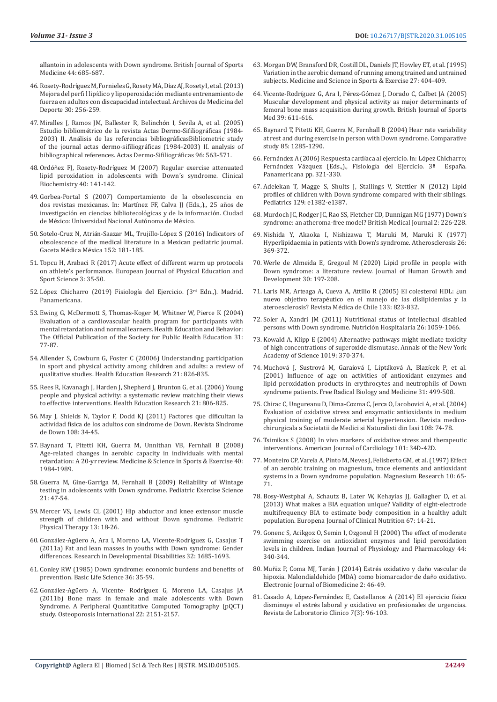allantoin in adolescents with Down syndrome. British Journal of Sports Medicine 44: 685-687.

- 46. Rosety-Rodrí[guez M, Fornieles G, Rosety MA, D](https://archivosdemedicinadeldeporte.com/articulos/upload/or01_157.pdf)íaz AJ, Rosety I, et al. (2013) Mejora del perfi l lipídico y lipoperoxidació[n mediante entrenamiento de](https://archivosdemedicinadeldeporte.com/articulos/upload/or01_157.pdf)  [fuerza en adultos con discapacidad intelectual. Archivos de Medicina del](https://archivosdemedicinadeldeporte.com/articulos/upload/or01_157.pdf)  [Deporte 30: 256-259.](https://archivosdemedicinadeldeporte.com/articulos/upload/or01_157.pdf)
- 47. [Miralles J, Ramos JM, Ballester R, Belinch](https://www.sciencedirect.com/science/article/abs/pii/S0001731005731379)ón I, Sevila A, et al. (2005) Estudio bibliomé[trico de la revista Actas Dermo-Sifiliogr](https://www.sciencedirect.com/science/article/abs/pii/S0001731005731379)áficas (1984- 2003) II. Aná[lisis de las referencias bibliográficasBibliometric study](https://www.sciencedirect.com/science/article/abs/pii/S0001731005731379)  [of the journal actas dermo-sifiliogr](https://www.sciencedirect.com/science/article/abs/pii/S0001731005731379)áficas (1984-2003) II. analysis of [bibliographical references. Actas Dermo-Sifiliogr](https://www.sciencedirect.com/science/article/abs/pii/S0001731005731379)áficas 96: 563-571.
- 48. Ordóñez FJ, Rosety-Rodrí[guez M \(2007\) Regular exercise attenuated](https://pubmed.ncbi.nlm.nih.gov/17123499/)  [lipid peroxidation in adolescents with Down´s syndrome. Clinical](https://pubmed.ncbi.nlm.nih.gov/17123499/)  [Biochemistry 40: 141-142.](https://pubmed.ncbi.nlm.nih.gov/17123499/)
- 49. Gorbea-Portal S (2007) Comportamiento de la obsolescencia en dos revistas mexicanas. In: Martínez FF, Calva JJ (Eds.,)., 25 años de investigación en ciencias bibliotecológicas y de la información. Ciudad de México: Universidad Nacional Autónoma de México.
- 50. Sotelo-Cruz N, Atrián-Saazar ML, Trujillo-Ló[pez S \(2016\) Indicators of](https://www.anmm.org.mx/GMM/2016/n2_english/3095AX162_152_2016_UK2_181-185.pdf)  [obsolescence of the medical literature in a Mexican pediatric journal.](https://www.anmm.org.mx/GMM/2016/n2_english/3095AX162_152_2016_UK2_181-185.pdf)  Gaceta Médica Mé[xica 152: 181-185.](https://www.anmm.org.mx/GMM/2016/n2_english/3095AX162_152_2016_UK2_181-185.pdf)
- 51. [Topcu H, Arabaci R \(2017\) Acute effect of different warm up protocols](https://oapub.org/edu/index.php/ejep/article/view/907)  [on athlete's performance. European Journal of Physical Education and](https://oapub.org/edu/index.php/ejep/article/view/907)  [Sport Science 3: 35-50.](https://oapub.org/edu/index.php/ejep/article/view/907)
- 52. López Chicharro (2019) Fisiologí[a del Ejercicio. \(3rd Edn.,\). Madrid.](http://www.sld.cu/galerias/pdf/sitios/rehabilitacion-ejer/fisiologiadelejercicio.pdf)  [Panamericana.](http://www.sld.cu/galerias/pdf/sitios/rehabilitacion-ejer/fisiologiadelejercicio.pdf)
- 53. [Ewing G, McDermott S, Thomas-Koger M, Whitner W, Pierce K \(2004\)](https://pubmed.ncbi.nlm.nih.gov/14768659/)  [Evaluation of a cardiovascular health program for participants with](https://pubmed.ncbi.nlm.nih.gov/14768659/)  [mental retardation and normal learners. Health Education and Behavior:](https://pubmed.ncbi.nlm.nih.gov/14768659/)  [The Official Publication of the Society for Public Health Education 31:](https://pubmed.ncbi.nlm.nih.gov/14768659/)  [77-87.](https://pubmed.ncbi.nlm.nih.gov/14768659/)
- 54. [Allender S, Cowburn G, Foster C \(20006\) Understanding participation](https://www.researchgate.net/publication/6927770_Understanding_participation_in_sport_and_physical_activity_among_children_and_adults_A_review_of_qualitative_studies)  [in sport and physical activity among children and adults: a review of](https://www.researchgate.net/publication/6927770_Understanding_participation_in_sport_and_physical_activity_among_children_and_adults_A_review_of_qualitative_studies)  [qualitative studies. Health Education Research 21: 826-835.](https://www.researchgate.net/publication/6927770_Understanding_participation_in_sport_and_physical_activity_among_children_and_adults_A_review_of_qualitative_studies)
- 55. [Rees R, Kavanagh J, Harden J, Shepherd J, Brunton G, et al. \(2006\) Young](https://pubmed.ncbi.nlm.nih.gov/17041020/)  [people and physical activity: a systematic review matching their views](https://pubmed.ncbi.nlm.nih.gov/17041020/)  [to effective interventions. Health Education Research 21: 806-825.](https://pubmed.ncbi.nlm.nih.gov/17041020/)
- 56. [May J, Shields N, Taylor F, Dodd KJ \(2011\) Factores que dificultan la](https://www.researchgate.net/publication/277261677_Factores_que_facilitan_y_dificultan_la_actividad_de_los_adultos_con_sindrome_de_Down)  actividad física de los adultos con sí[ndrome de Down. Revista S](https://www.researchgate.net/publication/277261677_Factores_que_facilitan_y_dificultan_la_actividad_de_los_adultos_con_sindrome_de_Down)índrome [de Down 108: 34-45.](https://www.researchgate.net/publication/277261677_Factores_que_facilitan_y_dificultan_la_actividad_de_los_adultos_con_sindrome_de_Down)
- 57. [Baynard T, Pitetti KH, Guerra M, Unnithan VB, Fernhall B \(2008\)](https://pubmed.ncbi.nlm.nih.gov/18845971/)  [Age-related changes in aerobic capacity in individuals with mental](https://pubmed.ncbi.nlm.nih.gov/18845971/)  [retardation: A 20-yr review. Medicine & Science in Sports & Exercise 40:](https://pubmed.ncbi.nlm.nih.gov/18845971/)  [1984-1989.](https://pubmed.ncbi.nlm.nih.gov/18845971/)
- 58. [Guerra M, Gine-Garriga M, Fernhall B \(2009\) Reliability of Wintage](https://pubmed.ncbi.nlm.nih.gov/19411710/)  [testing in adolescents with Down syndrome. Pediatric Exercise Science](https://pubmed.ncbi.nlm.nih.gov/19411710/)  [21: 47-54.](https://pubmed.ncbi.nlm.nih.gov/19411710/)
- 59. [Mercer VS, Lewis CL \(2001\) Hip abductor and knee extensor muscle](https://pubmed.ncbi.nlm.nih.gov/17053646/)  [strength of children with and without Down syndrome. Pediatric](https://pubmed.ncbi.nlm.nih.gov/17053646/)  [Physical Therapy 13: 18-26.](https://pubmed.ncbi.nlm.nih.gov/17053646/)
- 60. Gonzá[lez-Agüero A, Ara I, Moreno LA, Vicente-Rodr](https://pubmed.ncbi.nlm.nih.gov/21435834/)íguez G, Casajus T [\(2011a\) Fat and lean masses in youths with Down syndrome: Gender](https://pubmed.ncbi.nlm.nih.gov/21435834/)  [differences. Research in Developmental Disabilities 32: 1685-1693.](https://pubmed.ncbi.nlm.nih.gov/21435834/)
- 61. [Conley RW \(1985\) Down syndrome: economic burdens and benefits of](https://pubmed.ncbi.nlm.nih.gov/2937398/)  [prevention. Basic Life Science 36: 35-59.](https://pubmed.ncbi.nlm.nih.gov/2937398/)
- 62. González-Agüero A, Vicente- Rodríguez G, Moreno LA, Casajus JA (2011b) Bone mass in female and male adolescents with Down Syndrome. A Peripheral Quantitative Computed Tomography (pQCT) study. Osteoporosis International 22: 2151-2157.
- 63. [Morgan DW, Bransford DR, Costill DL, Daniels JT, Howley ET, et al. \(1995\)](https://pubmed.ncbi.nlm.nih.gov/7752868/) [Variation in the aerobic demand of running among trained and untrained](https://pubmed.ncbi.nlm.nih.gov/7752868/) [subjects. Medicine and Science in Sports & Exercise 27: 404-409.](https://pubmed.ncbi.nlm.nih.gov/7752868/)
- 64. Vicente-Rodríguez G, Ara I, Pérez-Gómez J, Dorado C, Calbet JA (2005) Muscular development and physical activity as major determinants of femoral bone mass acquisition during growth. British Journal of Sports Med 39: 611-616.
- 65. Baynard T, Pitetti KH, Guerra M, Fernhall B (2004) Hear rate variability at rest and during exercise in person with Down syndrome. Comparative study 85: 1285-1290.
- 66. Fernández A (2006) Respuesta cardíaca al ejercicio. In: López Chicharro; Fernández Vázquez (Eds.,)., Fisiología del Ejercicio. 3ª Panamericana pp. 321-330.
- 67. [Adelekan T, Magge S, Shults J, Stallings V, Stettler N \(2012\) Lipid](https://pubmed.ncbi.nlm.nih.gov/22585768/) [profiles of children with Down syndrome compared with their siblings.](https://pubmed.ncbi.nlm.nih.gov/22585768/) [Pediatrics 129: e1382-e1387.](https://pubmed.ncbi.nlm.nih.gov/22585768/)
- 68. [Murdoch JC, Rodger JC, Rao SS, Fletcher CD, Dunnigan MG \(1977\) Down's](https://pubmed.ncbi.nlm.nih.gov/141966/) [syndrome: an atheroma-free model? British Medical Journal 2: 226-228.](https://pubmed.ncbi.nlm.nih.gov/141966/)
- 69. [Nishida Y, Akaoka I, Nishizawa T, Maruki M, Maruki K \(1977\)](https://pubmed.ncbi.nlm.nih.gov/139898/) [Hyperlipidaemia in patients with Down's syndrome. Atherosclerosis 26:](https://pubmed.ncbi.nlm.nih.gov/139898/) [369-372.](https://pubmed.ncbi.nlm.nih.gov/139898/)
- 70. [Werle de Almeida E, Gregoul M \(2020\) Lipid profile in people with](http://pepsic.bvsalud.org/scielo.php?script=sci_arttext&pid=S0104-12822020000200006) [Down syndrome: a literature review. Journal of Human Growth and](http://pepsic.bvsalud.org/scielo.php?script=sci_arttext&pid=S0104-12822020000200006) [Development 30: 197-208.](http://pepsic.bvsalud.org/scielo.php?script=sci_arttext&pid=S0104-12822020000200006)
- 71. [Laris MR, Arteaga A, Cueva A, Attilio R \(2005\) El colesterol HDL:](https://scielo.conicyt.cl/scielo.php?script=sci_arttext&pid=S0034-98872005000700011) ¿un nuevo objetivo terapé[utico en el manejo de las dislipidemias y la](https://scielo.conicyt.cl/scielo.php?script=sci_arttext&pid=S0034-98872005000700011) ateroesclerosis? Revista Mé[dica de Chile 133: 823-832.](https://scielo.conicyt.cl/scielo.php?script=sci_arttext&pid=S0034-98872005000700011)
- 72. [Soler A, Xandri JM \(2011\) Nutritional status of intellectual disabled](https://pubmed.ncbi.nlm.nih.gov/22072353/) [persons with Down syndrome. Nutrición Hospitalaria 26: 1059-1066.](https://pubmed.ncbi.nlm.nih.gov/22072353/)
- 73. [Kowald A, Klipp E \(2004\) Alternative pathways might mediate toxicity](https://pubmed.ncbi.nlm.nih.gov/15247047/) [of high concentrations of superoxide dismutase. Annals of the New York](https://pubmed.ncbi.nlm.nih.gov/15247047/) [Academy of Science 1019: 370-374.](https://pubmed.ncbi.nlm.nih.gov/15247047/)
- 74. Muchová J, Sustrová M, Garaiová I, Liptáková A, Blazí[cek P, et al.](https://pubmed.ncbi.nlm.nih.gov/11498283/) [\(2001\) Influence of age on activities of antioxidant enzymes and](https://pubmed.ncbi.nlm.nih.gov/11498283/) [lipid peroxidation products in erythrocytes and neutrophils of Down](https://pubmed.ncbi.nlm.nih.gov/11498283/) [syndrome patients. Free Radical Biology and Medicine 31: 499-508.](https://pubmed.ncbi.nlm.nih.gov/11498283/)
- 75. [Chirac C, Ungureanu D, Dima-Cozma C, Jerca O, Iacobovici A, et al. \(2004\)](https://pubmed.ncbi.nlm.nih.gov/15688760/) [Evaluation of oxidative stress and enzymatic antioxidants in medium](https://pubmed.ncbi.nlm.nih.gov/15688760/) [physical training of moderate arterial hypertension. Revista medico](https://pubmed.ncbi.nlm.nih.gov/15688760/)[chirurgicala a Societatii de Medici si Naturalisti din Iasi 108: 74-78.](https://pubmed.ncbi.nlm.nih.gov/15688760/)
- 76. [Tsimikas S \(2008\) In vivo markers of oxidative stress and therapeutic](https://pubmed.ncbi.nlm.nih.gov/18474272/) [interventions. American Journal of Cardiology 101: 34D-42D.](https://pubmed.ncbi.nlm.nih.gov/18474272/)
- 77. [Monteiro CP, Varela A, Pinto M, Neves J, Felisberto GM, et al. \(1997\) Effect](https://pubmed.ncbi.nlm.nih.gov/9339840/) [of an aerobic training on magnesium, trace elements and antioxidant](https://pubmed.ncbi.nlm.nih.gov/9339840/) [systems in a Down syndrome population. Magnesium Research 10: 65-](https://pubmed.ncbi.nlm.nih.gov/9339840/) [71.](https://pubmed.ncbi.nlm.nih.gov/9339840/)
- 78. [Bosy-Westphal A, Schautz B, Later W, Kehayias JJ, Gallagher D, et al.](https://pubmed.ncbi.nlm.nih.gov/23299866/) [\(2013\) What makes a BIA equation unique? Validity of eight-electrode](https://pubmed.ncbi.nlm.nih.gov/23299866/) [multifrequency BIA to estimate body composition in a healthy adult](https://pubmed.ncbi.nlm.nih.gov/23299866/) [population. Europena Journal of Clinical Nutrition 67: 14-21.](https://pubmed.ncbi.nlm.nih.gov/23299866/)
- 79. [Gonenc S, Acikgoz O, Semin I, Ozgonul H \(2000\) The effect of moderate](https://pubmed.ncbi.nlm.nih.gov/10941624/) [swimming exercise on antioxidant enzymes and lipid peroxidation](https://pubmed.ncbi.nlm.nih.gov/10941624/) [levels in children. Indian Journal of Physiology and Pharmacology 44:](https://pubmed.ncbi.nlm.nih.gov/10941624/) [340-344.](https://pubmed.ncbi.nlm.nih.gov/10941624/)
- 80. Muñ[iz P, Coma MJ, Ter](https://biomed.uninet.edu/2014/n2/muniz.html)án J (2014) Estrés oxidativo y daño vascular de [hipoxia. Malondialdehido \(MDA\) como biomarcador de da](https://biomed.uninet.edu/2014/n2/muniz.html)ño oxidativo. [Electronic Journal of Biomedicine 2: 46-49.](https://biomed.uninet.edu/2014/n2/muniz.html)
- 81. Casado A, López-Ferná[ndez E, Castellanos A \(2014\) El ejercicio f](https://www.sciencedirect.com/science/article/abs/pii/S1888400814000592)ísico disminuye el estré[s laboral y oxidativo en profesionales de urgencias.](https://www.sciencedirect.com/science/article/abs/pii/S1888400814000592) [Revista de Laboratorio Clinico 7\(3\): 96-103.](https://www.sciencedirect.com/science/article/abs/pii/S1888400814000592)